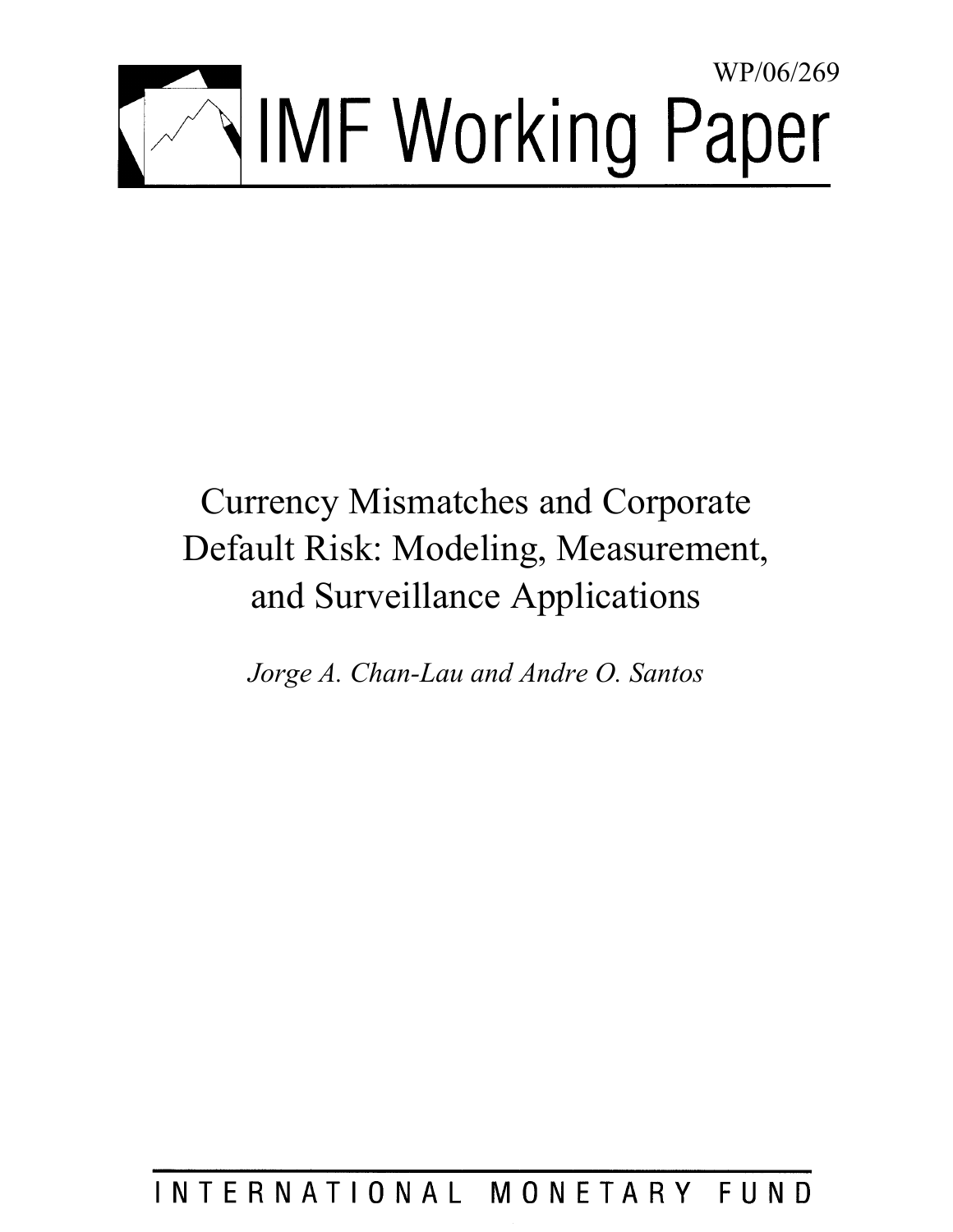

# Currency Mismatches and Corporate Default Risk: Modeling, Measurement, and Surveillance Applications

*Jorge A. Chan-Lau and Andre O. Santos* 

# INTERNATIONAL MONETARY FUND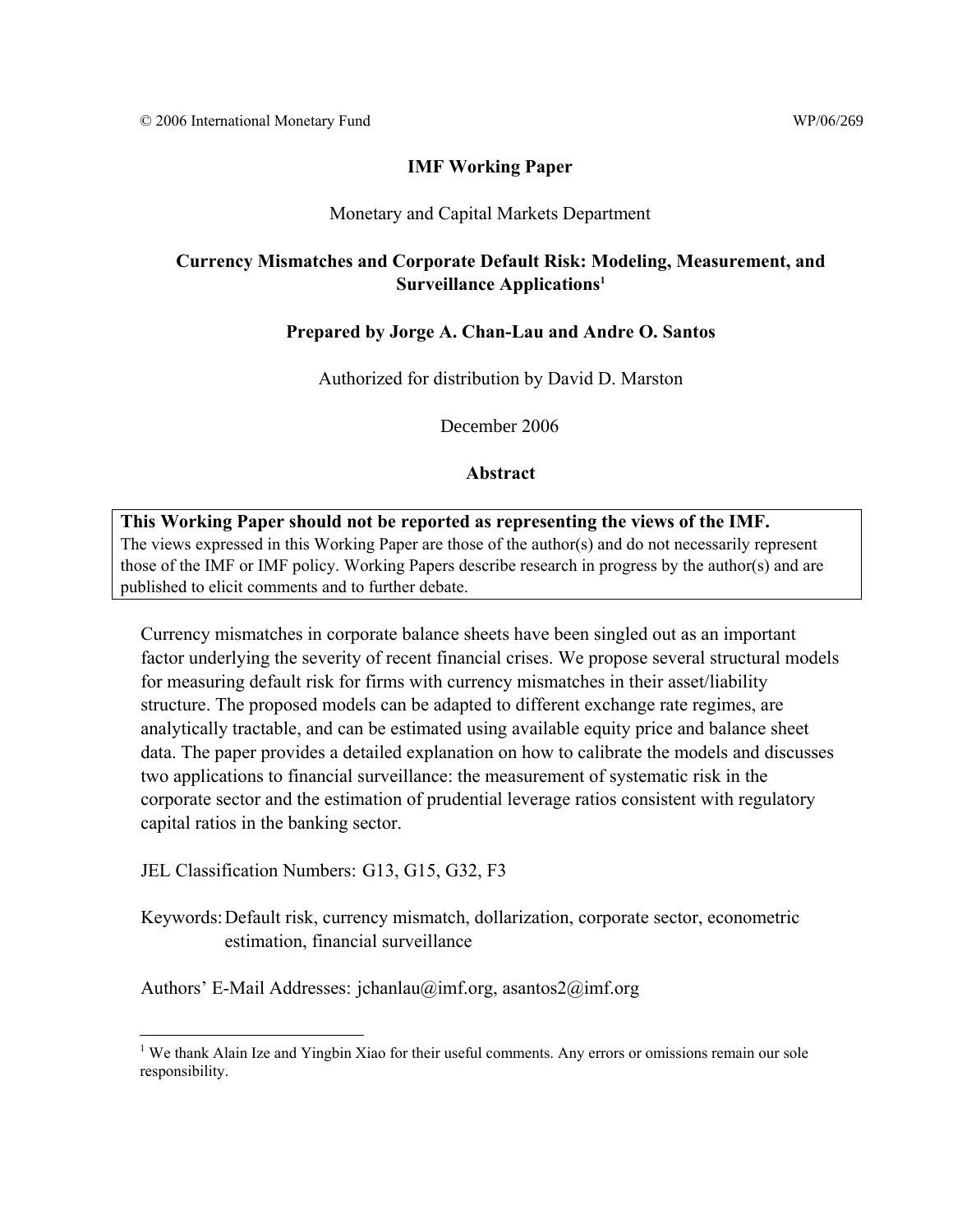# **IMF Working Paper**

# Monetary and Capital Markets Department

# **Currency Mismatches and Corporate Default Risk: Modeling, Measurement, and Surveillance Applications1**

## **Prepared by Jorge A. Chan-Lau and Andre O. Santos**

Authorized for distribution by David D. Marston

December 2006

## **Abstract**

**This Working Paper should not be reported as representing the views of the IMF.** The views expressed in this Working Paper are those of the author(s) and do not necessarily represent those of the IMF or IMF policy. Working Papers describe research in progress by the author(s) and are published to elicit comments and to further debate.

Currency mismatches in corporate balance sheets have been singled out as an important factor underlying the severity of recent financial crises. We propose several structural models for measuring default risk for firms with currency mismatches in their asset/liability structure. The proposed models can be adapted to different exchange rate regimes, are analytically tractable, and can be estimated using available equity price and balance sheet data. The paper provides a detailed explanation on how to calibrate the models and discusses two applications to financial surveillance: the measurement of systematic risk in the corporate sector and the estimation of prudential leverage ratios consistent with regulatory capital ratios in the banking sector.

JEL Classification Numbers: G13, G15, G32, F3

 $\overline{a}$ 

Keywords: Default risk, currency mismatch, dollarization, corporate sector, econometric estimation, financial surveillance

Authors' E-Mail Addresses: jchanlau@imf.org, asantos2@imf.org

<sup>&</sup>lt;sup>1</sup> We thank Alain Ize and Yingbin Xiao for their useful comments. Any errors or omissions remain our sole responsibility.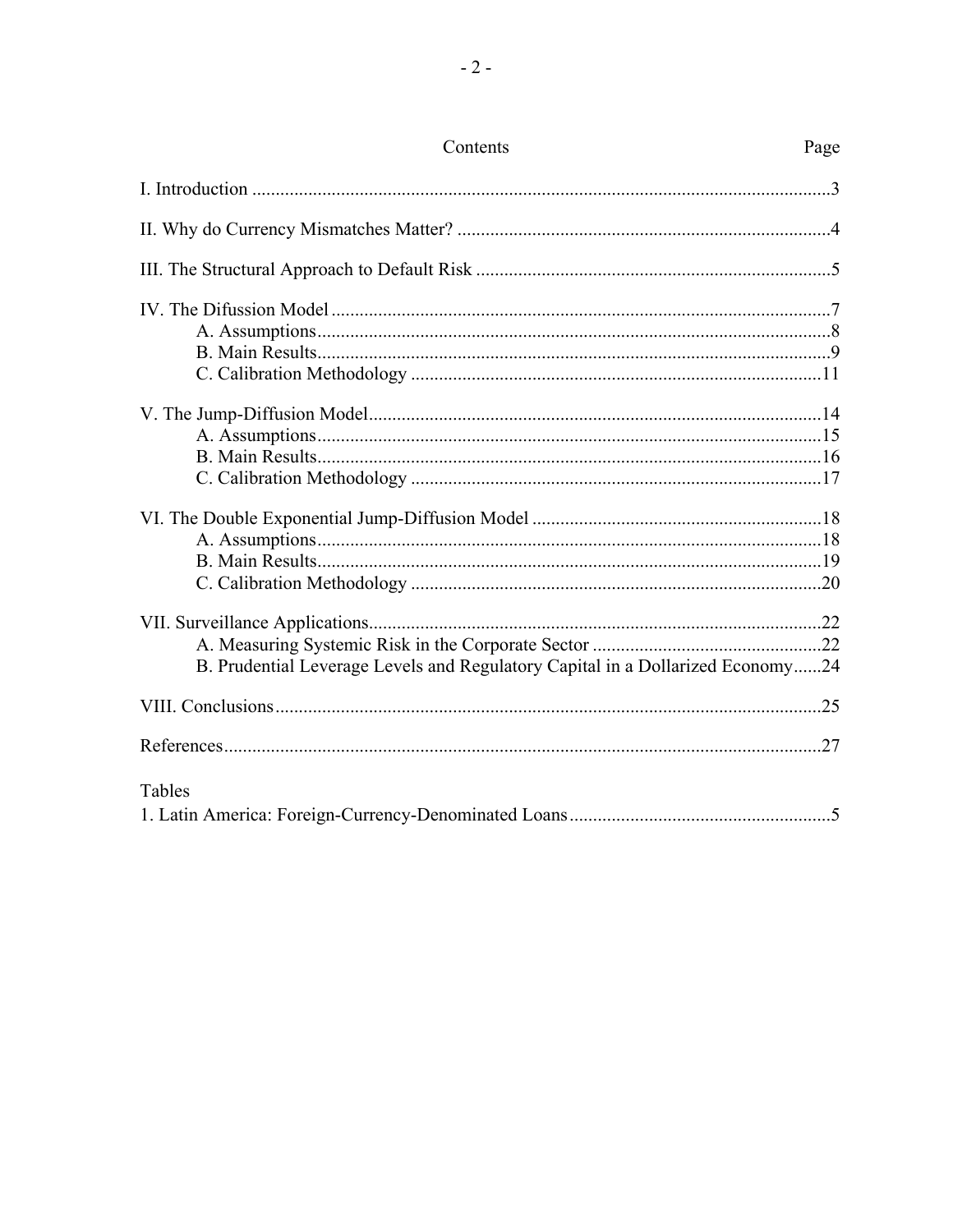| Contents                                                                       | Page |
|--------------------------------------------------------------------------------|------|
|                                                                                |      |
|                                                                                |      |
|                                                                                |      |
|                                                                                |      |
|                                                                                |      |
|                                                                                |      |
| B. Prudential Leverage Levels and Regulatory Capital in a Dollarized Economy24 |      |
|                                                                                |      |
|                                                                                |      |
| Tables                                                                         |      |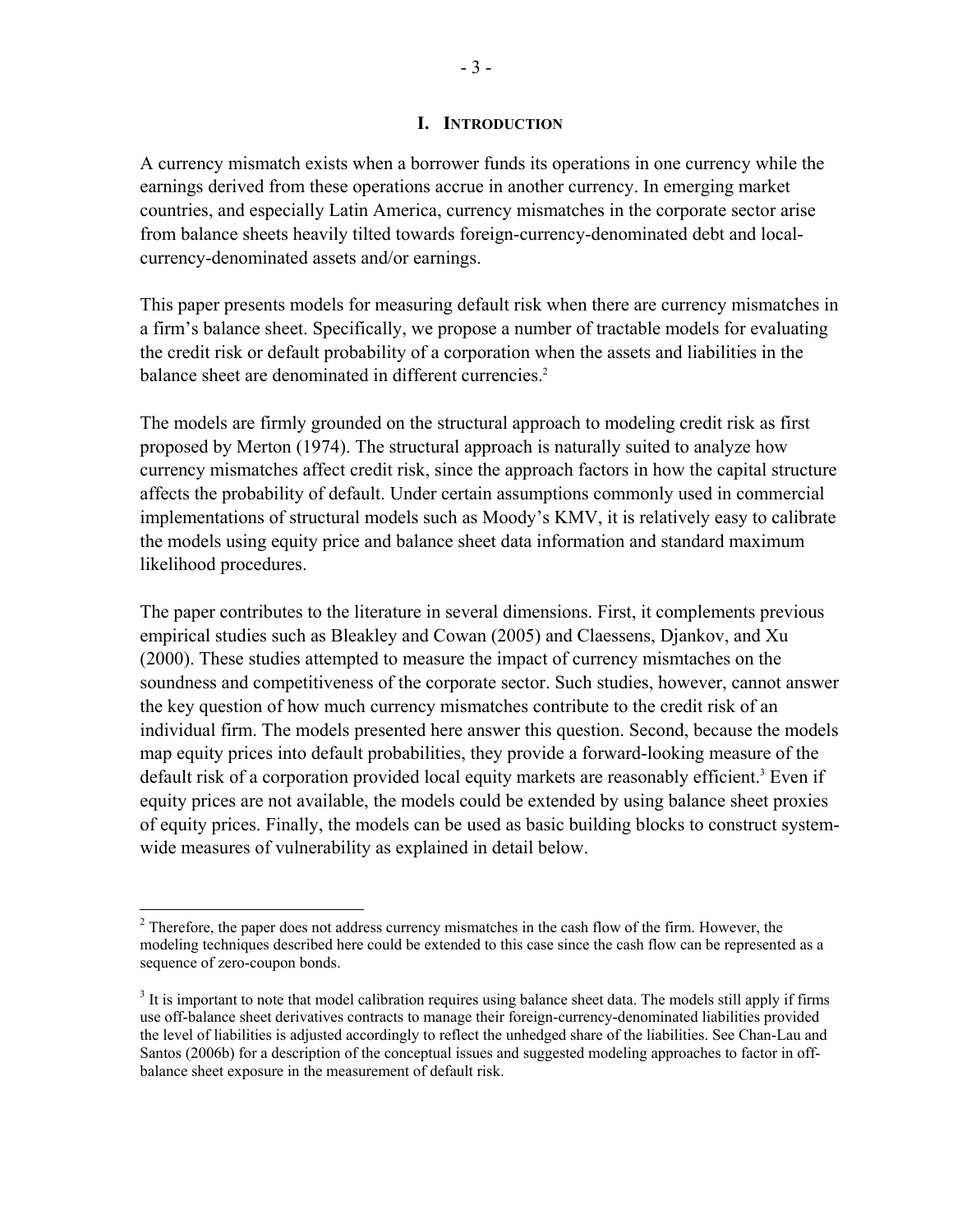#### **I. INTRODUCTION**

A currency mismatch exists when a borrower funds its operations in one currency while the earnings derived from these operations accrue in another currency. In emerging market countries, and especially Latin America, currency mismatches in the corporate sector arise from balance sheets heavily tilted towards foreign-currency-denominated debt and localcurrency-denominated assets and/or earnings.

This paper presents models for measuring default risk when there are currency mismatches in a firm's balance sheet. Specifically, we propose a number of tractable models for evaluating the credit risk or default probability of a corporation when the assets and liabilities in the balance sheet are denominated in different currencies.<sup>2</sup>

The models are firmly grounded on the structural approach to modeling credit risk as first proposed by Merton (1974). The structural approach is naturally suited to analyze how currency mismatches affect credit risk, since the approach factors in how the capital structure affects the probability of default. Under certain assumptions commonly used in commercial implementations of structural models such as Moody's KMV, it is relatively easy to calibrate the models using equity price and balance sheet data information and standard maximum likelihood procedures.

The paper contributes to the literature in several dimensions. First, it complements previous empirical studies such as Bleakley and Cowan (2005) and Claessens, Djankov, and Xu (2000). These studies attempted to measure the impact of currency mismtaches on the soundness and competitiveness of the corporate sector. Such studies, however, cannot answer the key question of how much currency mismatches contribute to the credit risk of an individual firm. The models presented here answer this question. Second, because the models map equity prices into default probabilities, they provide a forward-looking measure of the default risk of a corporation provided local equity markets are reasonably efficient.<sup>3</sup> Even if equity prices are not available, the models could be extended by using balance sheet proxies of equity prices. Finally, the models can be used as basic building blocks to construct systemwide measures of vulnerability as explained in detail below.

 $\overline{a}$  $2^2$  Therefore, the paper does not address currency mismatches in the cash flow of the firm. However, the modeling techniques described here could be extended to this case since the cash flow can be represented as a sequence of zero-coupon bonds.

 $3$  It is important to note that model calibration requires using balance sheet data. The models still apply if firms use off-balance sheet derivatives contracts to manage their foreign-currency-denominated liabilities provided the level of liabilities is adjusted accordingly to reflect the unhedged share of the liabilities. See Chan-Lau and Santos (2006b) for a description of the conceptual issues and suggested modeling approaches to factor in offbalance sheet exposure in the measurement of default risk.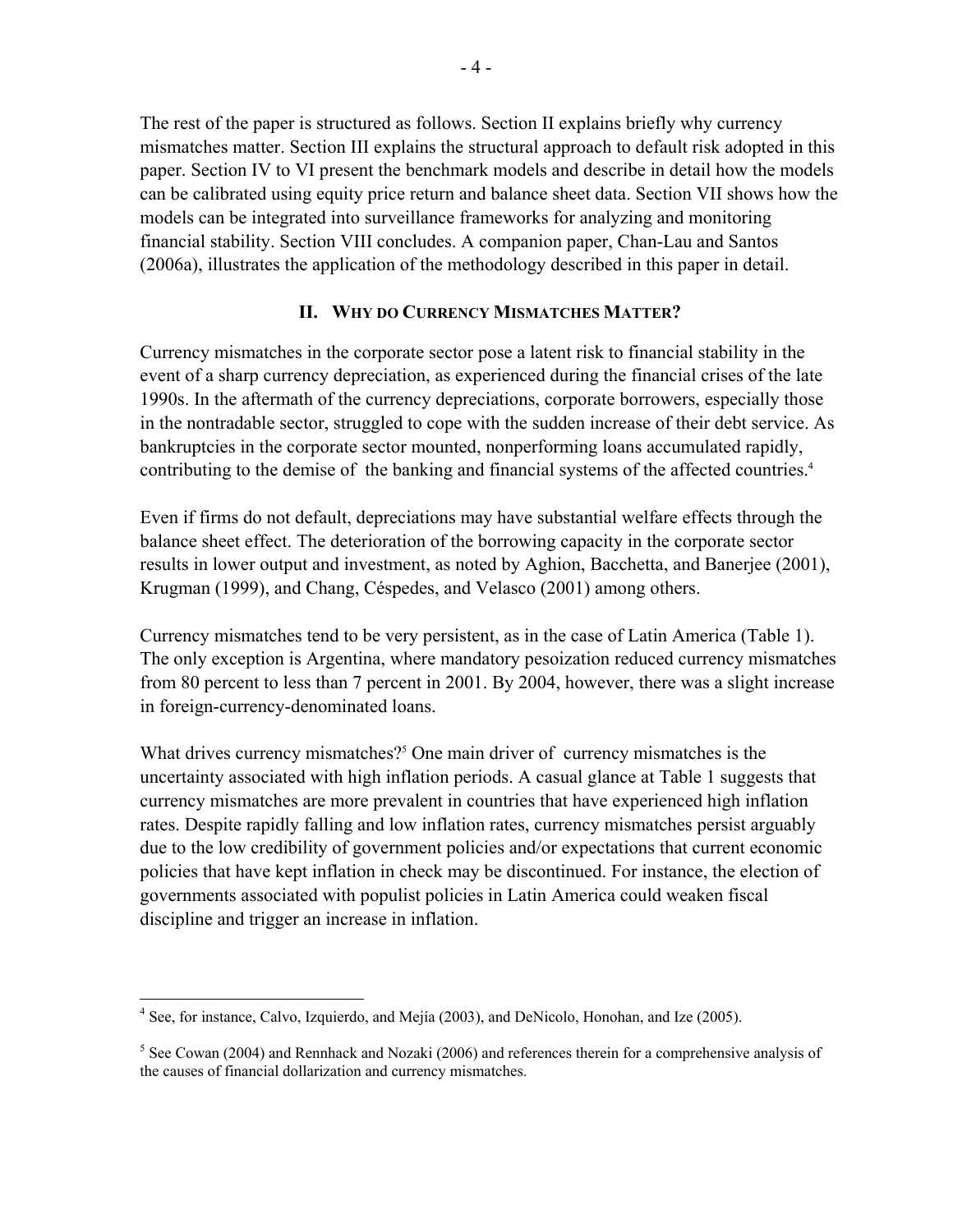The rest of the paper is structured as follows. Section II explains briefly why currency mismatches matter. Section III explains the structural approach to default risk adopted in this paper. Section IV to VI present the benchmark models and describe in detail how the models can be calibrated using equity price return and balance sheet data. Section VII shows how the models can be integrated into surveillance frameworks for analyzing and monitoring financial stability. Section VIII concludes. A companion paper, Chan-Lau and Santos (2006a), illustrates the application of the methodology described in this paper in detail.

# **II. WHY DO CURRENCY MISMATCHES MATTER?**

Currency mismatches in the corporate sector pose a latent risk to financial stability in the event of a sharp currency depreciation, as experienced during the financial crises of the late 1990s. In the aftermath of the currency depreciations, corporate borrowers, especially those in the nontradable sector, struggled to cope with the sudden increase of their debt service. As bankruptcies in the corporate sector mounted, nonperforming loans accumulated rapidly, contributing to the demise of the banking and financial systems of the affected countries.<sup>4</sup>

Even if firms do not default, depreciations may have substantial welfare effects through the balance sheet effect. The deterioration of the borrowing capacity in the corporate sector results in lower output and investment, as noted by Aghion, Bacchetta, and Banerjee (2001), Krugman (1999), and Chang, Céspedes, and Velasco (2001) among others.

Currency mismatches tend to be very persistent, as in the case of Latin America (Table 1). The only exception is Argentina, where mandatory pesoization reduced currency mismatches from 80 percent to less than 7 percent in 2001. By 2004, however, there was a slight increase in foreign-currency-denominated loans.

What drives currency mismatches?<sup>5</sup> One main driver of currency mismatches is the uncertainty associated with high inflation periods. A casual glance at Table 1 suggests that currency mismatches are more prevalent in countries that have experienced high inflation rates. Despite rapidly falling and low inflation rates, currency mismatches persist arguably due to the low credibility of government policies and/or expectations that current economic policies that have kept inflation in check may be discontinued. For instance, the election of governments associated with populist policies in Latin America could weaken fiscal discipline and trigger an increase in inflation.

 $\overline{a}$ 

<sup>&</sup>lt;sup>4</sup> See, for instance, Calvo, Izquierdo, and Mejía (2003), and DeNicolo, Honohan, and Ize (2005).

 $<sup>5</sup>$  See Cowan (2004) and Rennhack and Nozaki (2006) and references therein for a comprehensive analysis of</sup> the causes of financial dollarization and currency mismatches.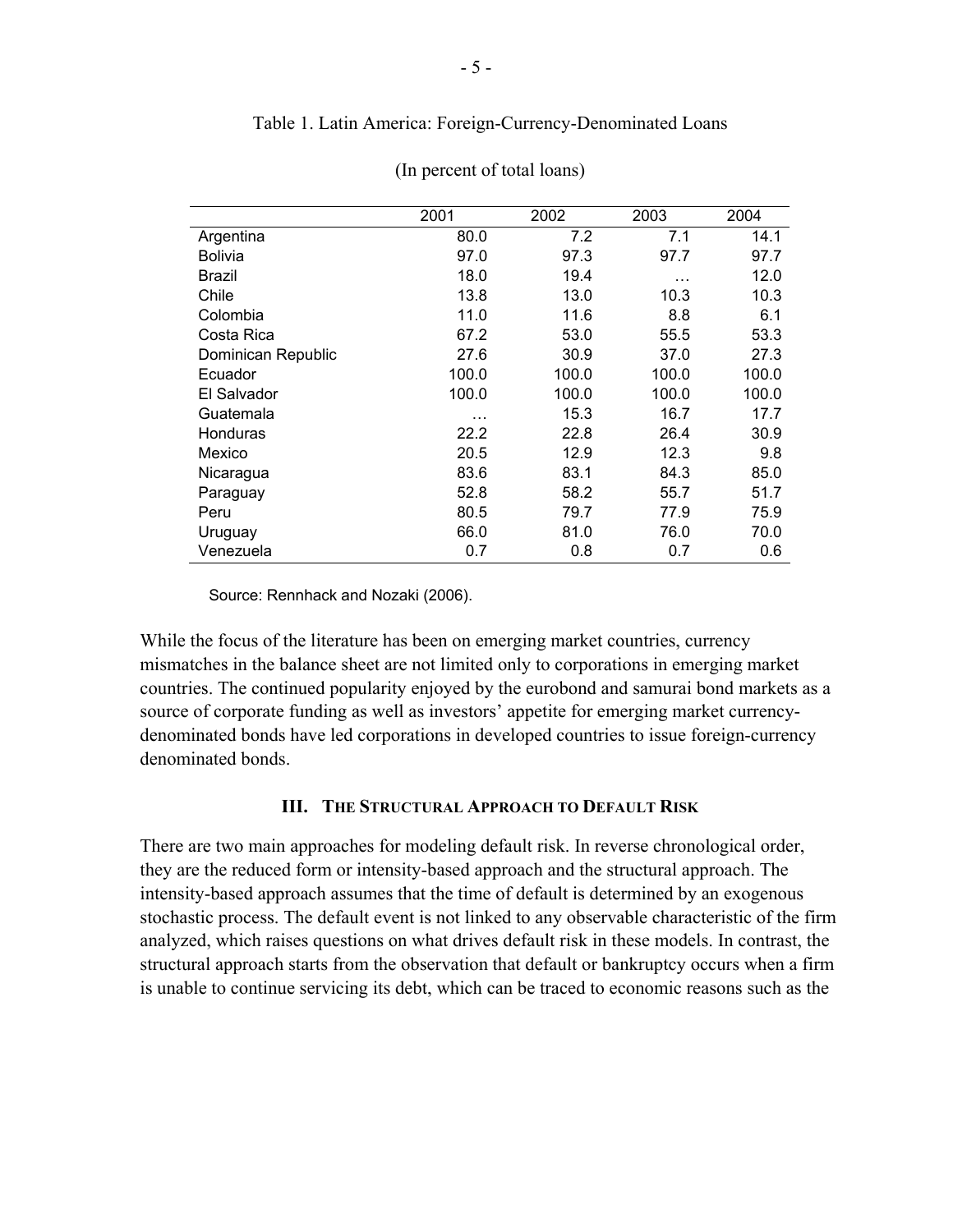|                    | 2001  | 2002  | 2003  | 2004  |
|--------------------|-------|-------|-------|-------|
| Argentina          | 80.0  | 7.2   | 7.1   | 14.1  |
| <b>Bolivia</b>     | 97.0  | 97.3  | 97.7  | 97.7  |
| Brazil             | 18.0  | 19.4  | .     | 12.0  |
| Chile              | 13.8  | 13.0  | 10.3  | 10.3  |
| Colombia           | 11.0  | 11.6  | 8.8   | 6.1   |
| Costa Rica         | 67.2  | 53.0  | 55.5  | 53.3  |
| Dominican Republic | 27.6  | 30.9  | 37.0  | 27.3  |
| Ecuador            | 100.0 | 100.0 | 100.0 | 100.0 |
| El Salvador        | 100.0 | 100.0 | 100.0 | 100.0 |
| Guatemala          | .     | 15.3  | 16.7  | 17.7  |
| Honduras           | 22.2  | 22.8  | 26.4  | 30.9  |
| Mexico             | 20.5  | 12.9  | 12.3  | 9.8   |
| Nicaragua          | 83.6  | 83.1  | 84.3  | 85.0  |
| Paraguay           | 52.8  | 58.2  | 55.7  | 51.7  |
| Peru               | 80.5  | 79.7  | 77.9  | 75.9  |
| Uruguay            | 66.0  | 81.0  | 76.0  | 70.0  |
| Venezuela          | 0.7   | 0.8   | 0.7   | 0.6   |

#### Table 1. Latin America: Foreign-Currency-Denominated Loans

(In percent of total loans)

Source: Rennhack and Nozaki (2006).

While the focus of the literature has been on emerging market countries, currency mismatches in the balance sheet are not limited only to corporations in emerging market countries. The continued popularity enjoyed by the eurobond and samurai bond markets as a source of corporate funding as well as investors' appetite for emerging market currencydenominated bonds have led corporations in developed countries to issue foreign-currency denominated bonds.

#### **III. THE STRUCTURAL APPROACH TO DEFAULT RISK**

There are two main approaches for modeling default risk. In reverse chronological order, they are the reduced form or intensity-based approach and the structural approach. The intensity-based approach assumes that the time of default is determined by an exogenous stochastic process. The default event is not linked to any observable characteristic of the firm analyzed, which raises questions on what drives default risk in these models. In contrast, the structural approach starts from the observation that default or bankruptcy occurs when a firm is unable to continue servicing its debt, which can be traced to economic reasons such as the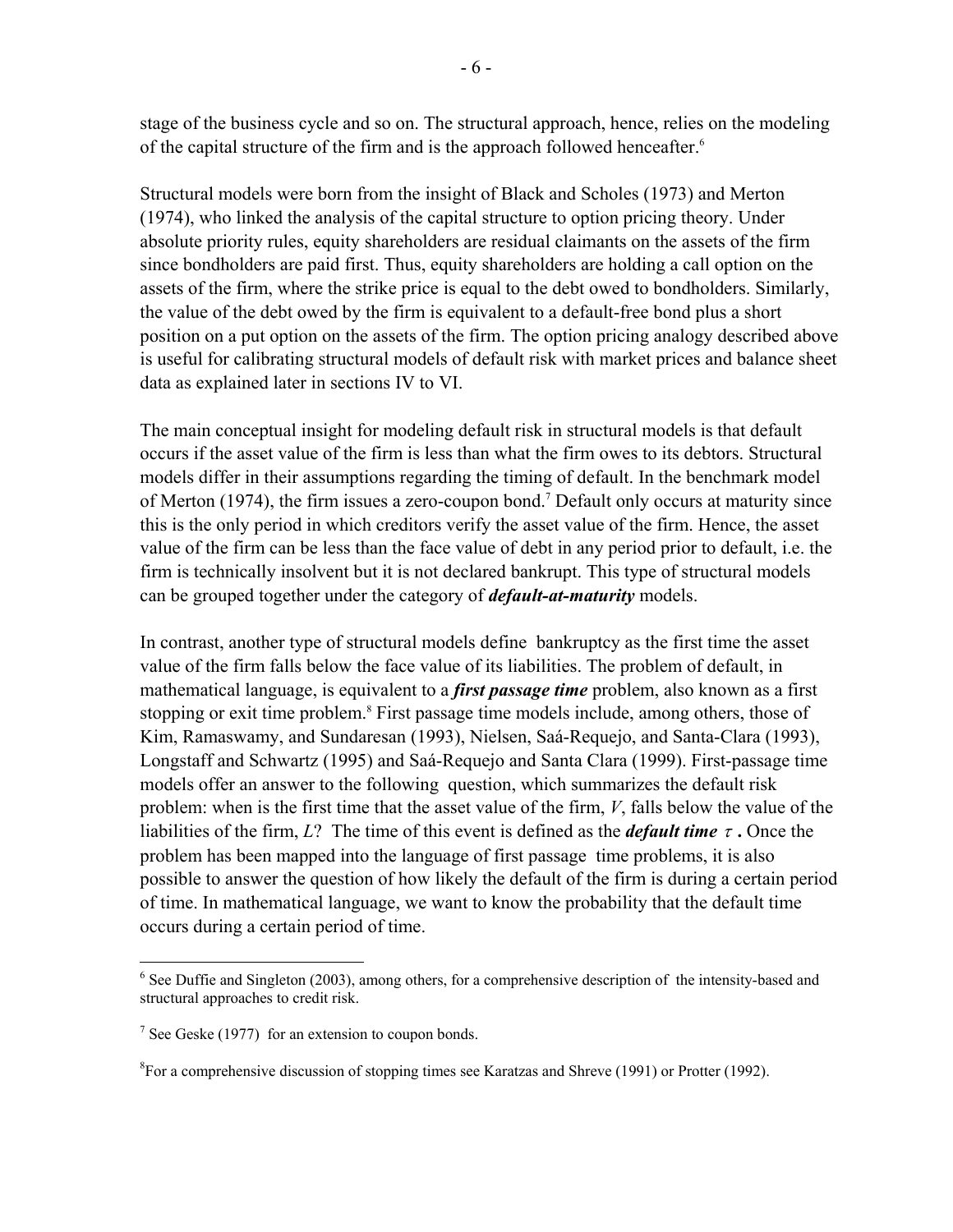stage of the business cycle and so on. The structural approach, hence, relies on the modeling of the capital structure of the firm and is the approach followed henceafter.<sup>6</sup>

Structural models were born from the insight of Black and Scholes (1973) and Merton (1974), who linked the analysis of the capital structure to option pricing theory. Under absolute priority rules, equity shareholders are residual claimants on the assets of the firm since bondholders are paid first. Thus, equity shareholders are holding a call option on the assets of the firm, where the strike price is equal to the debt owed to bondholders. Similarly, the value of the debt owed by the firm is equivalent to a default-free bond plus a short position on a put option on the assets of the firm. The option pricing analogy described above is useful for calibrating structural models of default risk with market prices and balance sheet data as explained later in sections IV to VI.

The main conceptual insight for modeling default risk in structural models is that default occurs if the asset value of the firm is less than what the firm owes to its debtors. Structural models differ in their assumptions regarding the timing of default. In the benchmark model of Merton (1974), the firm issues a zero-coupon bond.7 Default only occurs at maturity since this is the only period in which creditors verify the asset value of the firm. Hence, the asset value of the firm can be less than the face value of debt in any period prior to default, i.e. the firm is technically insolvent but it is not declared bankrupt. This type of structural models can be grouped together under the category of *default-at-maturity* models.

In contrast, another type of structural models define bankruptcy as the first time the asset value of the firm falls below the face value of its liabilities. The problem of default, in mathematical language, is equivalent to a *first passage time* problem, also known as a first stopping or exit time problem.<sup>8</sup> First passage time models include, among others, those of Kim, Ramaswamy, and Sundaresan (1993), Nielsen, Saá-Requejo, and Santa-Clara (1993), Longstaff and Schwartz (1995) and Saá-Requejo and Santa Clara (1999). First-passage time models offer an answer to the following question, which summarizes the default risk problem: when is the first time that the asset value of the firm, *V*, falls below the value of the liabilities of the firm, *L*? The time of this event is defined as the *default time* <sup>τ</sup> **.** Once the problem has been mapped into the language of first passage time problems, it is also possible to answer the question of how likely the default of the firm is during a certain period of time. In mathematical language, we want to know the probability that the default time occurs during a certain period of time.

<sup>&</sup>lt;sup>6</sup> See Duffie and Singleton (2003), among others, for a comprehensive description of the intensity-based and <sup>6</sup> structural approaches to credit risk.

 $7$  See Geske (1977) for an extension to coupon bonds.

 ${}^{8}$ For a comprehensive discussion of stopping times see Karatzas and Shreve (1991) or Protter (1992).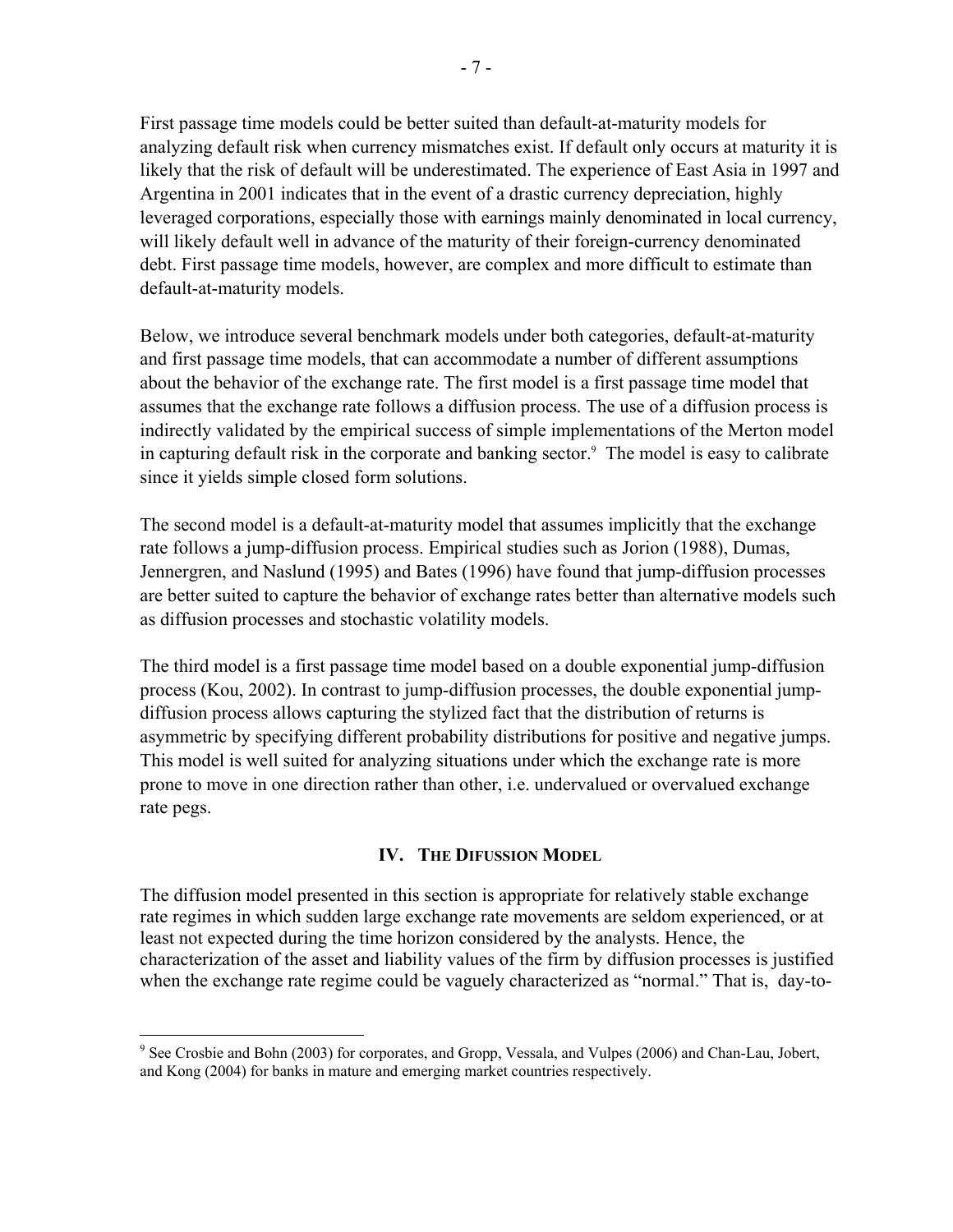First passage time models could be better suited than default-at-maturity models for analyzing default risk when currency mismatches exist. If default only occurs at maturity it is likely that the risk of default will be underestimated. The experience of East Asia in 1997 and Argentina in 2001 indicates that in the event of a drastic currency depreciation, highly leveraged corporations, especially those with earnings mainly denominated in local currency, will likely default well in advance of the maturity of their foreign-currency denominated debt. First passage time models, however, are complex and more difficult to estimate than default-at-maturity models.

Below, we introduce several benchmark models under both categories, default-at-maturity and first passage time models, that can accommodate a number of different assumptions about the behavior of the exchange rate. The first model is a first passage time model that assumes that the exchange rate follows a diffusion process. The use of a diffusion process is indirectly validated by the empirical success of simple implementations of the Merton model in capturing default risk in the corporate and banking sector.<sup>9</sup> The model is easy to calibrate since it yields simple closed form solutions.

The second model is a default-at-maturity model that assumes implicitly that the exchange rate follows a jump-diffusion process. Empirical studies such as Jorion (1988), Dumas, Jennergren, and Naslund (1995) and Bates (1996) have found that jump-diffusion processes are better suited to capture the behavior of exchange rates better than alternative models such as diffusion processes and stochastic volatility models.

The third model is a first passage time model based on a double exponential jump-diffusion process (Kou, 2002). In contrast to jump-diffusion processes, the double exponential jumpdiffusion process allows capturing the stylized fact that the distribution of returns is asymmetric by specifying different probability distributions for positive and negative jumps. This model is well suited for analyzing situations under which the exchange rate is more prone to move in one direction rather than other, i.e. undervalued or overvalued exchange rate pegs.

# **IV. THE DIFUSSION MODEL**

The diffusion model presented in this section is appropriate for relatively stable exchange rate regimes in which sudden large exchange rate movements are seldom experienced, or at least not expected during the time horizon considered by the analysts. Hence, the characterization of the asset and liability values of the firm by diffusion processes is justified when the exchange rate regime could be vaguely characterized as "normal." That is, day-to-

1

<sup>&</sup>lt;sup>9</sup> See Crosbie and Bohn (2003) for corporates, and Gropp, Vessala, and Vulpes (2006) and Chan-Lau, Jobert, and Kong (2004) for banks in mature and emerging market countries respectively.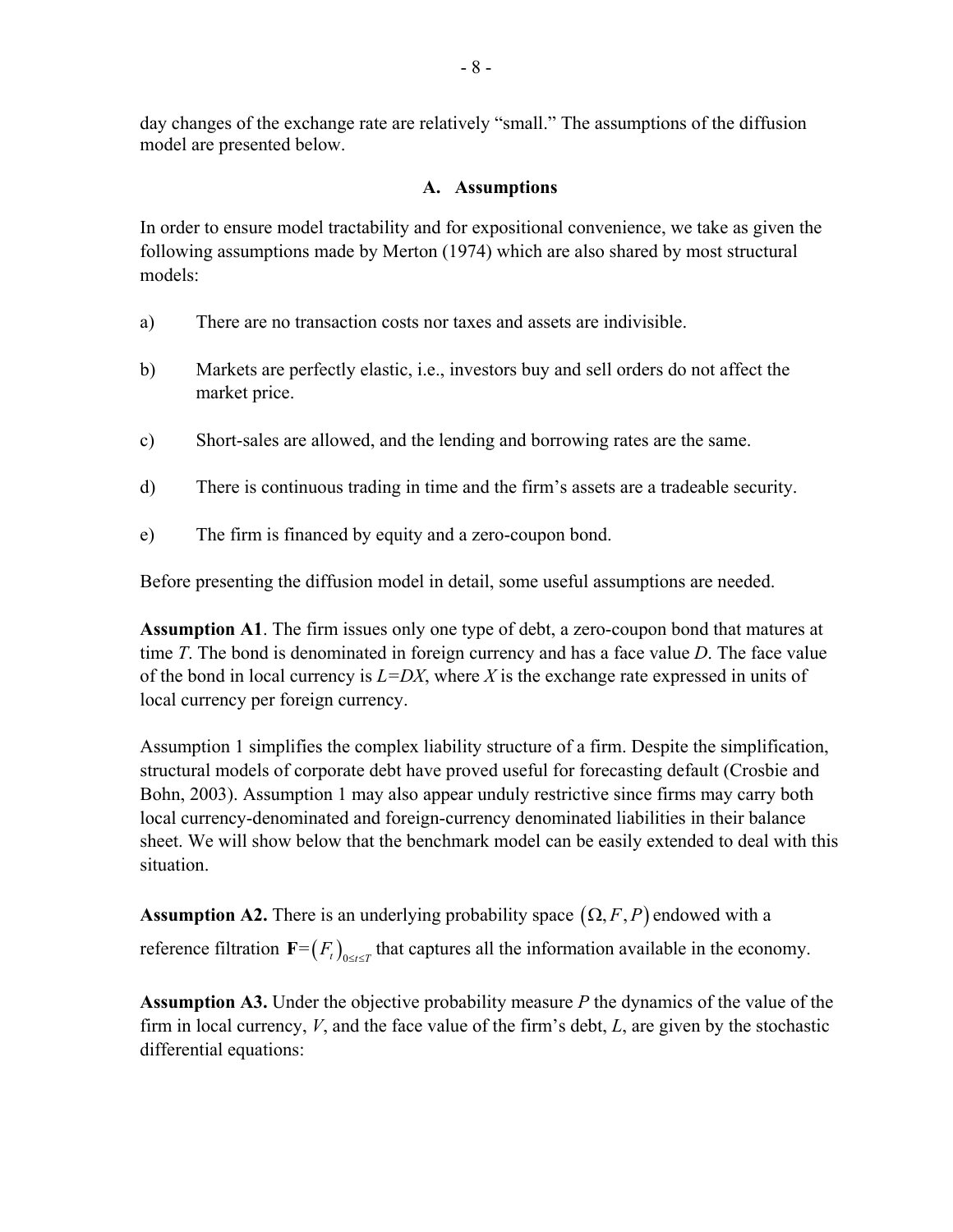day changes of the exchange rate are relatively "small." The assumptions of the diffusion model are presented below.

# **A. Assumptions**

In order to ensure model tractability and for expositional convenience, we take as given the following assumptions made by Merton (1974) which are also shared by most structural models:

- a) There are no transaction costs nor taxes and assets are indivisible.
- b) Markets are perfectly elastic, i.e., investors buy and sell orders do not affect the market price.
- c) Short-sales are allowed, and the lending and borrowing rates are the same.
- d) There is continuous trading in time and the firm's assets are a tradeable security.
- e) The firm is financed by equity and a zero-coupon bond.

Before presenting the diffusion model in detail, some useful assumptions are needed.

**Assumption A1**. The firm issues only one type of debt, a zero-coupon bond that matures at time *T*. The bond is denominated in foreign currency and has a face value *D*. The face value of the bond in local currency is  $L = DX$ , where *X* is the exchange rate expressed in units of local currency per foreign currency.

Assumption 1 simplifies the complex liability structure of a firm. Despite the simplification, structural models of corporate debt have proved useful for forecasting default (Crosbie and Bohn, 2003). Assumption 1 may also appear unduly restrictive since firms may carry both local currency-denominated and foreign-currency denominated liabilities in their balance sheet. We will show below that the benchmark model can be easily extended to deal with this situation.

**Assumption A2.** There is an underlying probability space  $(\Omega, F, P)$  endowed with a reference filtration  $\mathbf{F} = (F_t)_{0 \le t \le T}$  that captures all the information available in the economy.

**Assumption A3.** Under the objective probability measure *P* the dynamics of the value of the firm in local currency, *V*, and the face value of the firm's debt, *L*, are given by the stochastic differential equations: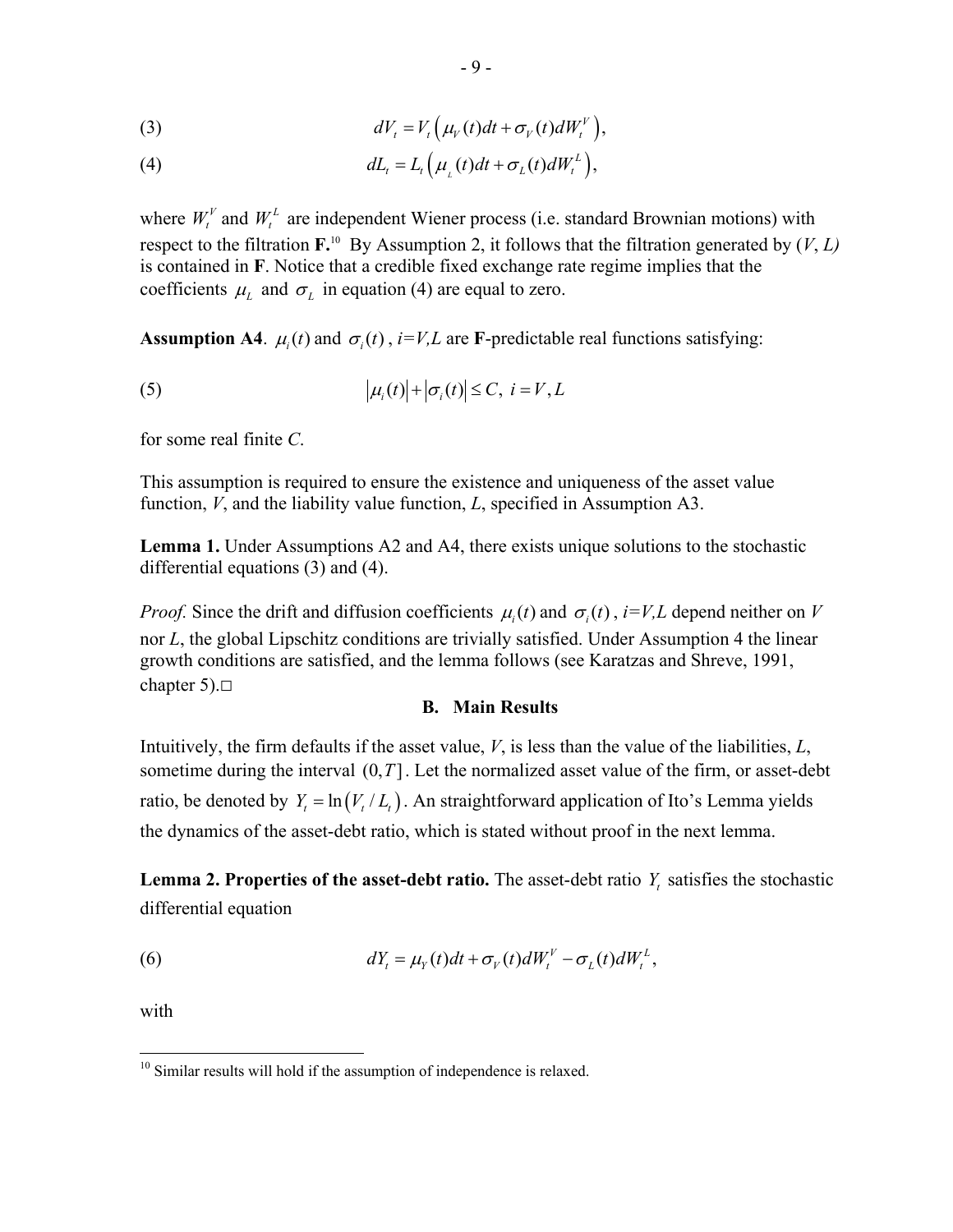(3) 
$$
dV_t = V_t \left( \mu_V(t) dt + \sigma_V(t) dW_t^V \right),
$$

(4) 
$$
dL_t = L_t\left(\mu_t(t)dt + \sigma_t(t)dW_t^L\right),
$$

where  $W_t^V$  and  $W_t^L$  are independent Wiener process (i.e. standard Brownian motions) with respect to the filtration  $\mathbf{F}^{\text{10}}$  By Assumption 2, it follows that the filtration generated by  $(V, L)$ is contained in **F**. Notice that a credible fixed exchange rate regime implies that the coefficients  $\mu_L$  and  $\sigma_L$  in equation (4) are equal to zero.

**Assumption A4**.  $\mu_i(t)$  and  $\sigma_i(t)$ ,  $i=V, L$  are **F**-predictable real functions satisfying:

(5) 
$$
\left|\mu_i(t)\right| + \left|\sigma_i(t)\right| \leq C, \ i = V, L
$$

for some real finite *C*.

This assumption is required to ensure the existence and uniqueness of the asset value function, *V*, and the liability value function, *L*, specified in Assumption A3.

**Lemma 1.** Under Assumptions A2 and A4, there exists unique solutions to the stochastic differential equations (3) and (4).

*Proof.* Since the drift and diffusion coefficients  $\mu_i(t)$  and  $\sigma_i(t)$ ,  $i=V,L$  depend neither on *V* nor *L*, the global Lipschitz conditions are trivially satisfied. Under Assumption 4 the linear growth conditions are satisfied, and the lemma follows (see Karatzas and Shreve, 1991, chapter 5). $\Box$ 

#### **B. Main Results**

Intuitively, the firm defaults if the asset value, *V*, is less than the value of the liabilities, *L*, sometime during the interval  $(0, T]$ . Let the normalized asset value of the firm, or asset-debt ratio, be denoted by  $Y_t = \ln(V_t/L_t)$ . An straightforward application of Ito's Lemma yields the dynamics of the asset-debt ratio, which is stated without proof in the next lemma.

**Lemma 2. Properties of the asset-debt ratio.** The asset-debt ratio  $Y_t$  satisfies the stochastic differential equation

(6) 
$$
dY_t = \mu_Y(t)dt + \sigma_Y(t)dW_t^V - \sigma_L(t)dW_t^L,
$$

with

<sup>1</sup>  $10$  Similar results will hold if the assumption of independence is relaxed.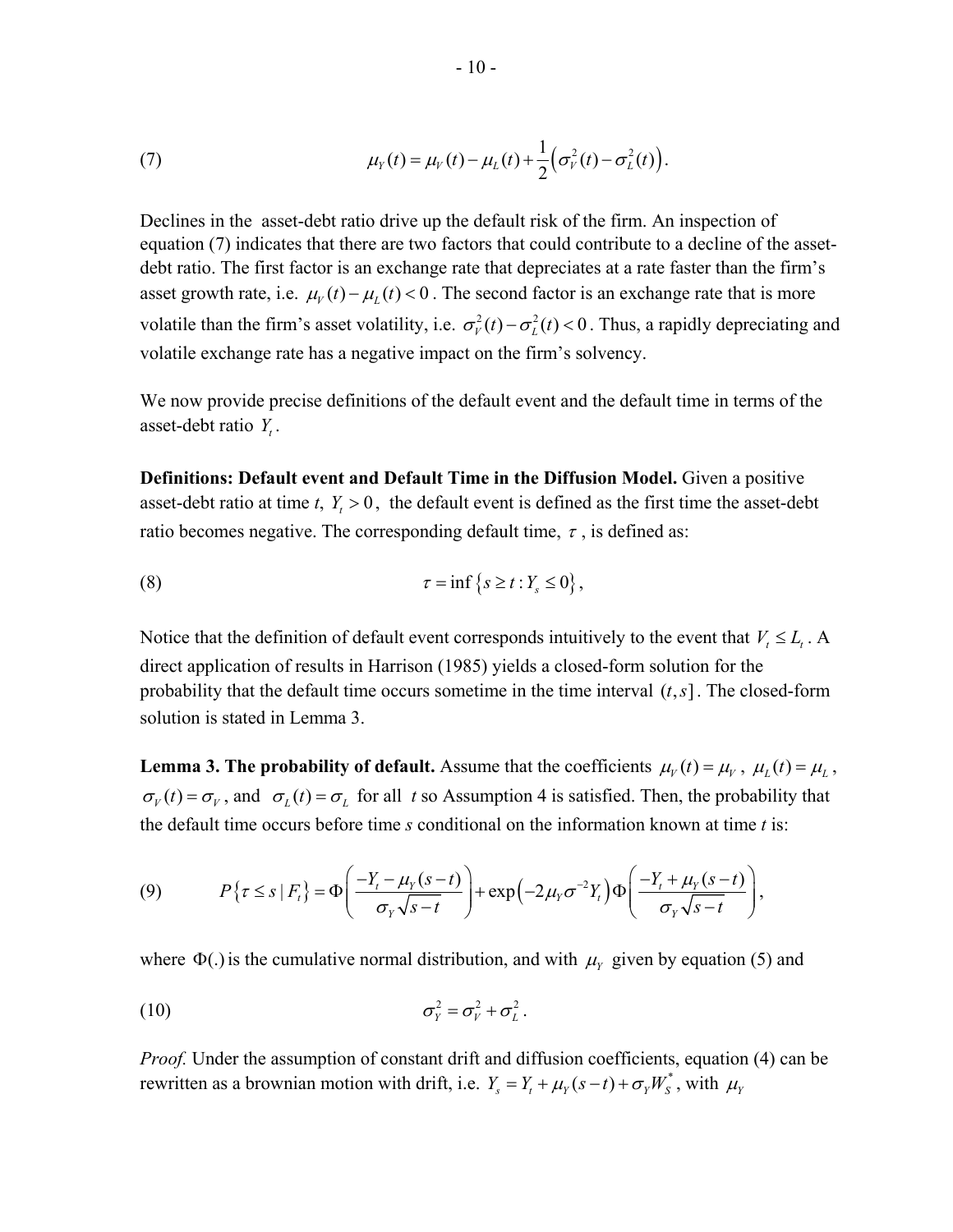(7) 
$$
\mu_Y(t) = \mu_V(t) - \mu_L(t) + \frac{1}{2} (\sigma_V^2(t) - \sigma_L^2(t)).
$$

Declines in the asset-debt ratio drive up the default risk of the firm. An inspection of equation (7) indicates that there are two factors that could contribute to a decline of the assetdebt ratio. The first factor is an exchange rate that depreciates at a rate faster than the firm's asset growth rate, i.e.  $\mu_V(t) - \mu_I(t) < 0$ . The second factor is an exchange rate that is more volatile than the firm's asset volatility, i.e.  $\sigma_V^2(t) - \sigma_L^2(t) < 0$ . Thus, a rapidly depreciating and volatile exchange rate has a negative impact on the firm's solvency.

We now provide precise definitions of the default event and the default time in terms of the asset-debt ratio  $Y_t$ .

**Definitions: Default event and Default Time in the Diffusion Model.** Given a positive asset-debt ratio at time  $t$ ,  $Y_t > 0$ , the default event is defined as the first time the asset-debt ratio becomes negative. The corresponding default time,  $\tau$ , is defined as:

$$
\tau = \inf \left\{ s \ge t : Y_s \le 0 \right\},\,
$$

Notice that the definition of default event corresponds intuitively to the event that  $V_t \leq L_t$ . A direct application of results in Harrison (1985) yields a closed-form solution for the probability that the default time occurs sometime in the time interval  $(t, s]$ . The closed-form solution is stated in Lemma 3.

**Lemma 3. The probability of default.** Assume that the coefficients  $\mu_V(t) = \mu_V$ ,  $\mu_L(t) = \mu_L$ ,  $\sigma_V(t) = \sigma_V$ , and  $\sigma_L(t) = \sigma_L$  for all *t* so Assumption 4 is satisfied. Then, the probability that the default time occurs before time *s* conditional on the information known at time *t* is:

(9) 
$$
P\{\tau \leq s \mid F_t\} = \Phi\left(\frac{-Y_t - \mu_Y(s-t)}{\sigma_Y\sqrt{s-t}}\right) + \exp\left(-2\mu_Y\sigma^{-2}Y_t\right)\Phi\left(\frac{-Y_t + \mu_Y(s-t)}{\sigma_Y\sqrt{s-t}}\right),
$$

where  $\Phi(.)$  is the cumulative normal distribution, and with  $\mu_Y$  given by equation (5) and

$$
\sigma_Y^2 = \sigma_Y^2 + \sigma_L^2.
$$

*Proof.* Under the assumption of constant drift and diffusion coefficients, equation (4) can be rewritten as a brownian motion with drift, i.e.  $Y_s = Y_t + \mu_Y(s-t) + \sigma_Y W_s^*$ , with  $\mu_Y$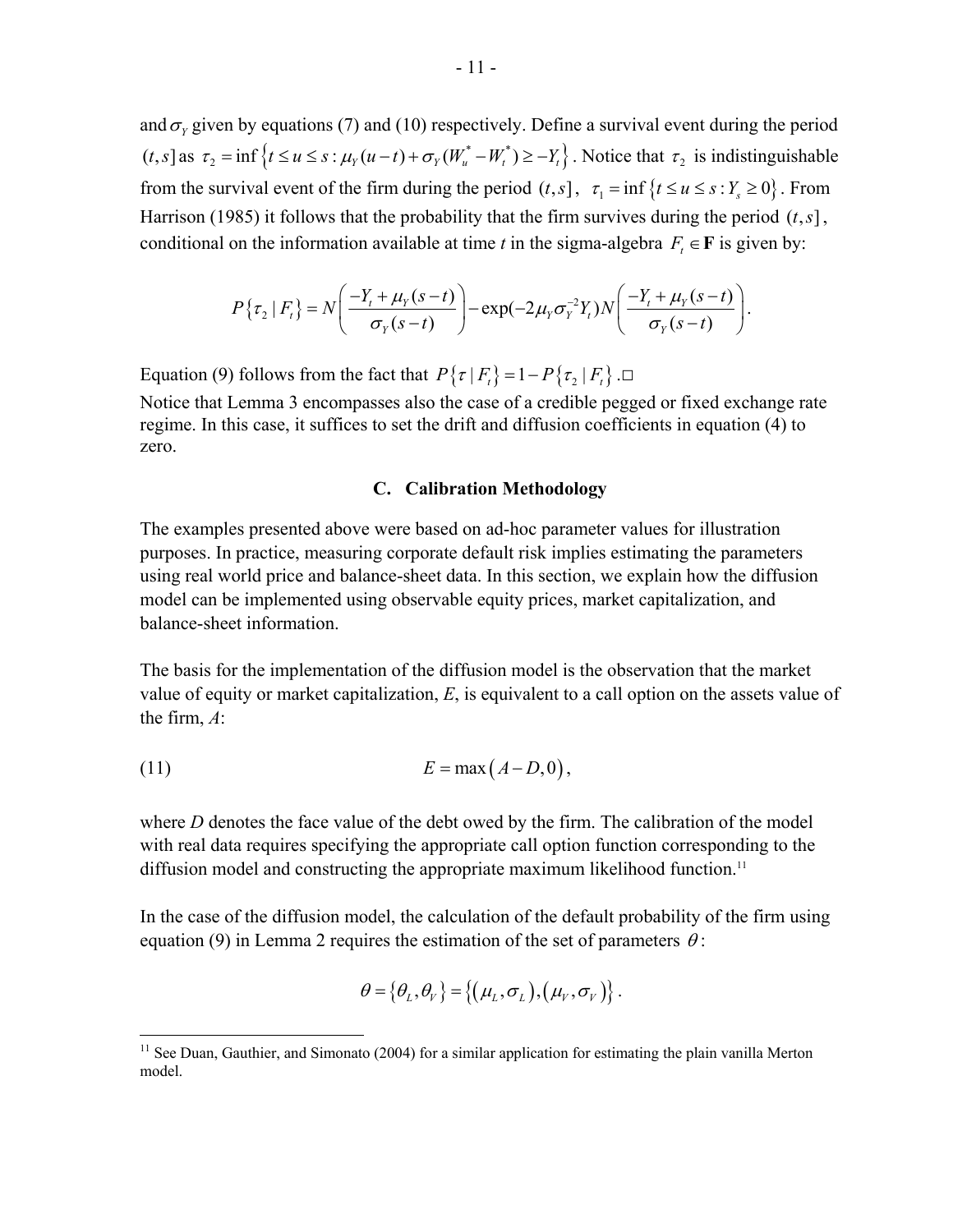and  $\sigma_y$  given by equations (7) and (10) respectively. Define a survival event during the period  $(t, s]$  as  $\tau_2 = \inf \{ t \le u \le s : \mu_Y(u-t) + \sigma_Y(W^*_u - W^*_t) \ge -Y_t \}$ . Notice that  $\tau_2$  is indistinguishable from the survival event of the firm during the period  $(t, s)$ ,  $\tau_1 = \inf \{ t \le u \le s : Y_s \ge 0 \}$ . From Harrison (1985) it follows that the probability that the firm survives during the period  $(t, s]$ , conditional on the information available at time *t* in the sigma-algebra  $F_t \in \mathbf{F}$  is given by:

$$
P\{\tau_2 \mid F_t\} = N\left(\frac{-Y_t + \mu_Y(s-t)}{\sigma_Y(s-t)}\right) - \exp(-2\mu_Y \sigma_Y^{-2} Y_t) N\left(\frac{-Y_t + \mu_Y(s-t)}{\sigma_Y(s-t)}\right).
$$

Equation (9) follows from the fact that  $P\{\tau | F_t\} = 1 - P\{\tau_2 | F_t\}$ .

Notice that Lemma 3 encompasses also the case of a credible pegged or fixed exchange rate regime. In this case, it suffices to set the drift and diffusion coefficients in equation (4) to zero.

#### **C. Calibration Methodology**

The examples presented above were based on ad-hoc parameter values for illustration purposes. In practice, measuring corporate default risk implies estimating the parameters using real world price and balance-sheet data. In this section, we explain how the diffusion model can be implemented using observable equity prices, market capitalization, and balance-sheet information.

The basis for the implementation of the diffusion model is the observation that the market value of equity or market capitalization, *E*, is equivalent to a call option on the assets value of the firm, *A*:

$$
(11) \t\t\t E = \max(A - D, 0),
$$

 $\overline{a}$ 

where *D* denotes the face value of the debt owed by the firm. The calibration of the model with real data requires specifying the appropriate call option function corresponding to the diffusion model and constructing the appropriate maximum likelihood function.<sup>11</sup>

In the case of the diffusion model, the calculation of the default probability of the firm using equation (9) in Lemma 2 requires the estimation of the set of parameters  $\theta$ :

$$
\theta = \{ \theta_L, \theta_V \} = \{ (\mu_L, \sigma_L), (\mu_V, \sigma_V) \}.
$$

<sup>&</sup>lt;sup>11</sup> See Duan, Gauthier, and Simonato (2004) for a similar application for estimating the plain vanilla Merton model.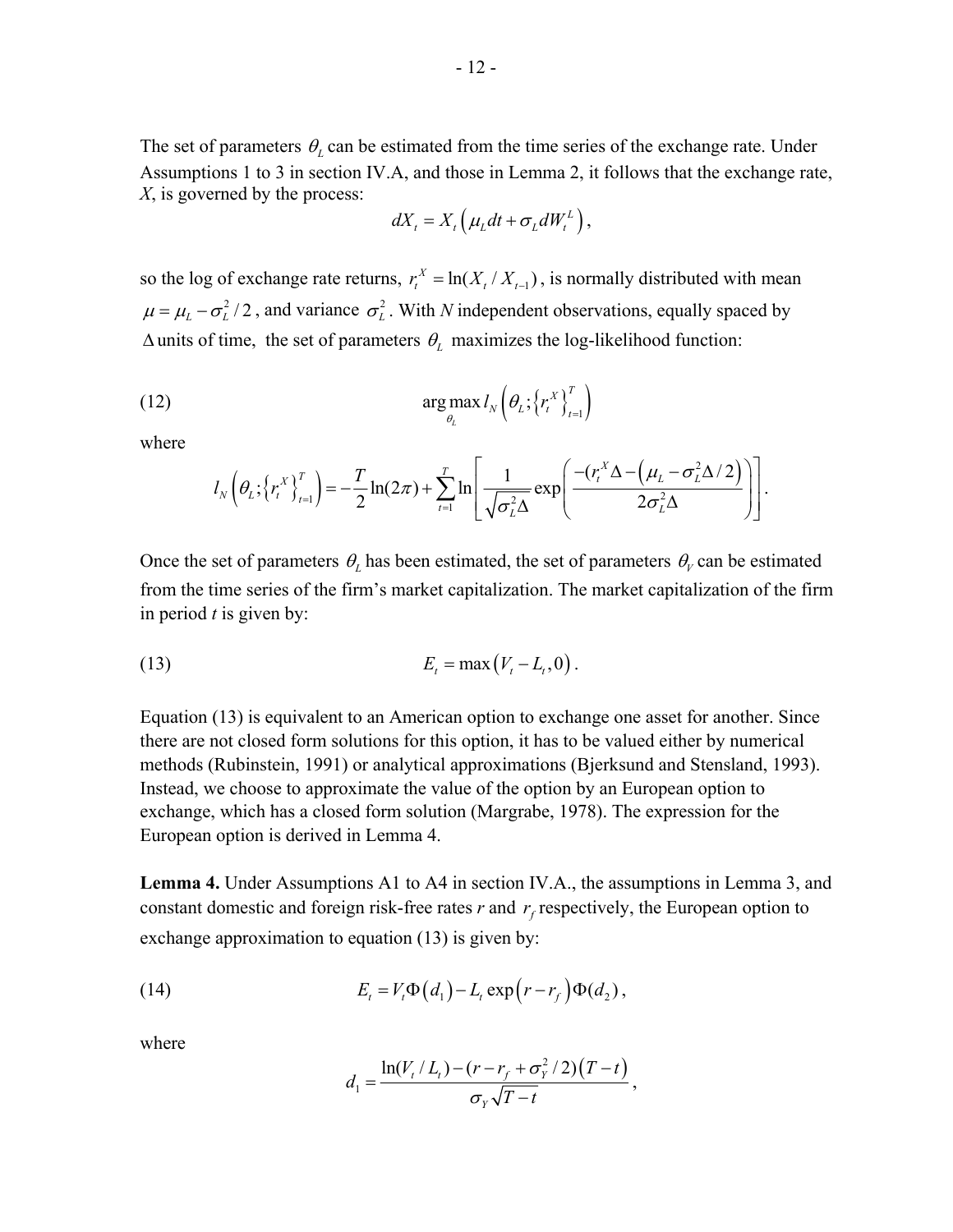The set of parameters  $\theta_L$  can be estimated from the time series of the exchange rate. Under Assumptions 1 to 3 in section IV.A, and those in Lemma 2, it follows that the exchange rate, *X*, is governed by the process:

$$
dX_t = X_t \left( \mu_L dt + \sigma_L dW_t^L \right),
$$

so the log of exchange rate returns,  $r_t^X = \ln(X_t / X_{t-1})$ , is normally distributed with mean  $\mu = \mu_L - \sigma_L^2/2$ , and variance  $\sigma_L^2$ . With *N* independent observations, equally spaced by  $\Delta$ units of time, the set of parameters  $\theta_L$  maximizes the log-likelihood function:

(12) 
$$
\arg \max_{\theta_L} l_N \left( \theta_L; \left\{ r_i^X \right\}_{i=1}^T \right)
$$

where

$$
l_N\left(\theta_L; \left\{r_t^X\right\}_{t=1}^T\right) = -\frac{T}{2}\ln(2\pi) + \sum_{t=1}^T \ln\left[\frac{1}{\sqrt{\sigma_L^2\Delta}}\exp\left(\frac{-(r_t^X\Delta - \left(\mu_L - \sigma_L^2\Delta/2\right))}{2\sigma_L^2\Delta}\right)\right].
$$

Once the set of parameters  $\theta_L$  has been estimated, the set of parameters  $\theta_V$  can be estimated from the time series of the firm's market capitalization. The market capitalization of the firm in period *t* is given by:

$$
(13) \t\t\t E_t = \max(V_t - L_t, 0).
$$

Equation (13) is equivalent to an American option to exchange one asset for another. Since there are not closed form solutions for this option, it has to be valued either by numerical methods (Rubinstein, 1991) or analytical approximations (Bjerksund and Stensland, 1993). Instead, we choose to approximate the value of the option by an European option to exchange, which has a closed form solution (Margrabe, 1978). The expression for the European option is derived in Lemma 4.

**Lemma 4.** Under Assumptions A1 to A4 in section IV.A., the assumptions in Lemma 3, and constant domestic and foreign risk-free rates  $r$  and  $r_f$  respectively, the European option to exchange approximation to equation (13) is given by:

(14) 
$$
E_t = V_t \Phi(d_1) - L_t \exp(r - r_f) \Phi(d_2),
$$

where

$$
d_1 = \frac{\ln(V_t/L_t) - (r - r_f + \sigma_Y^2/2)(T-t)}{\sigma_Y \sqrt{T-t}},
$$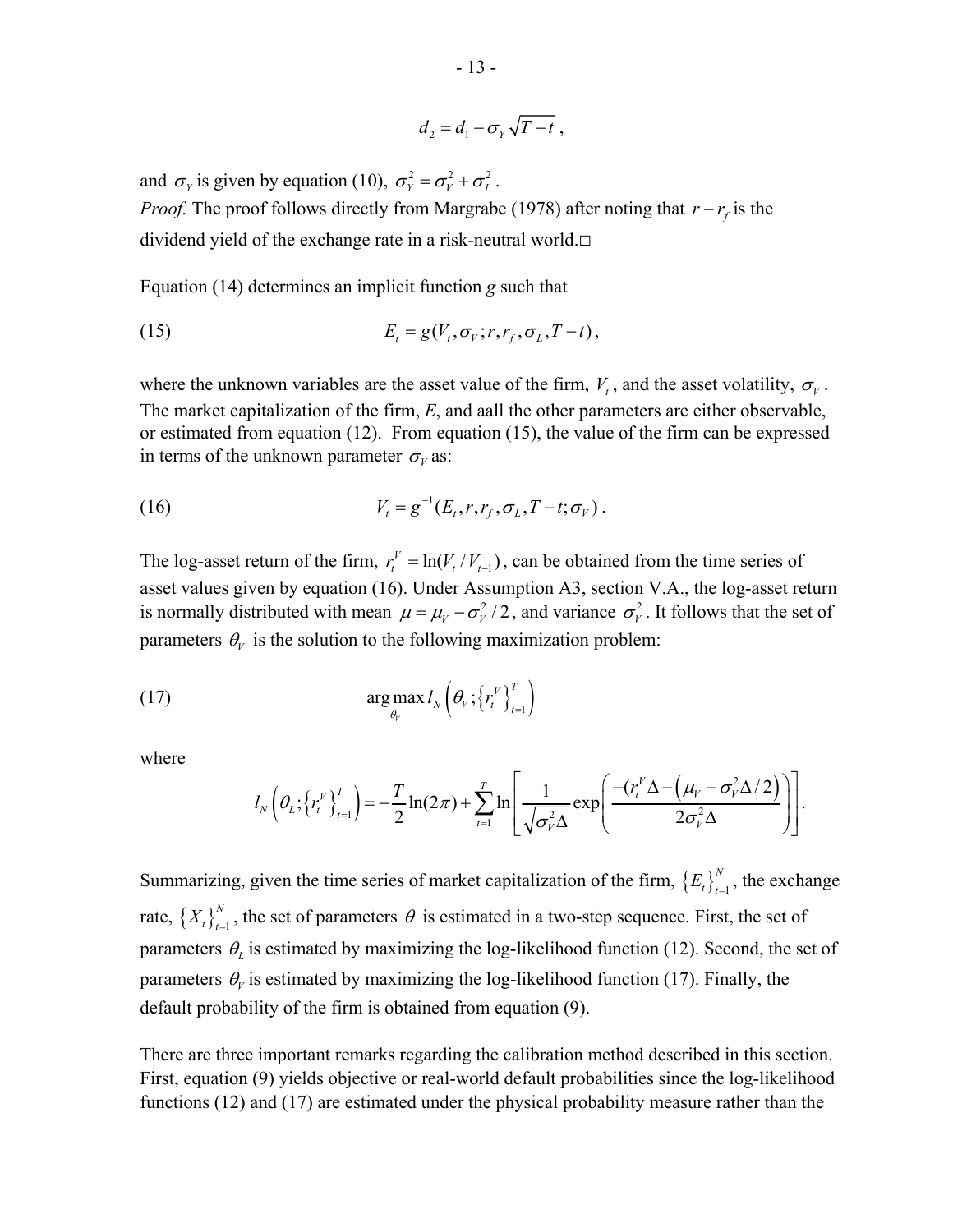$$
d_2 = d_1 - \sigma_Y \sqrt{T-t} ,
$$

and  $\sigma_y$  is given by equation (10),  $\sigma_y^2 = \sigma_y^2 + \sigma_z^2$ .

*Proof.* The proof follows directly from Margrabe (1978) after noting that  $r - r_f$  is the dividend yield of the exchange rate in a risk-neutral world.□

Equation (14) determines an implicit function *g* such that

(15) 
$$
E_t = g(V_t, \sigma_V; r, r_f, \sigma_L, T-t),
$$

where the unknown variables are the asset value of the firm,  $V_t$ , and the asset volatility,  $\sigma_V$ . The market capitalization of the firm, *E*, and aall the other parameters are either observable, or estimated from equation (12). From equation (15), the value of the firm can be expressed in terms of the unknown parameter  $\sigma_{V}$  as:

(16) 
$$
V_t = g^{-1}(E_t, r, r_f, \sigma_L, T - t; \sigma_V).
$$

The log-asset return of the firm,  $r_t^V = \ln(V_t / V_{t-1})$ , can be obtained from the time series of asset values given by equation (16). Under Assumption A3, section V.A., the log-asset return is normally distributed with mean  $\mu = \mu_V - \sigma_V^2/2$ , and variance  $\sigma_V^2$ . It follows that the set of parameters  $\theta_V$  is the solution to the following maximization problem:

(17) 
$$
\arg \max_{\theta_V} l_N \left( \theta_V ; \left\{ r_l^V \right\}_{t=1}^T \right)
$$

where

$$
l_{N}\left(\theta_{L};\left\{r_{t}^{V}\right\}_{t=1}^{T}\right)=-\frac{T}{2}\ln(2\pi)+\sum_{t=1}^{T}\ln\left[\frac{1}{\sqrt{\sigma_{V}^{2}\Delta}}\exp\left(\frac{-(r_{t}^{V}\Delta-\left(\mu_{V}-\sigma_{V}^{2}\Delta/2\right)}{2\sigma_{V}^{2}\Delta})\right)\right].
$$

Summarizing, given the time series of market capitalization of the firm,  ${E<sub>t</sub>}_{t=1}^N$ , the exchange rate,  ${X_t}_{t=1}^N$ , the set of parameters  $\theta$  is estimated in a two-step sequence. First, the set of parameters  $\theta_L$  is estimated by maximizing the log-likelihood function (12). Second, the set of parameters  $\theta$ <sub>v</sub> is estimated by maximizing the log-likelihood function (17). Finally, the default probability of the firm is obtained from equation (9).

There are three important remarks regarding the calibration method described in this section. First, equation (9) yields objective or real-world default probabilities since the log-likelihood functions (12) and (17) are estimated under the physical probability measure rather than the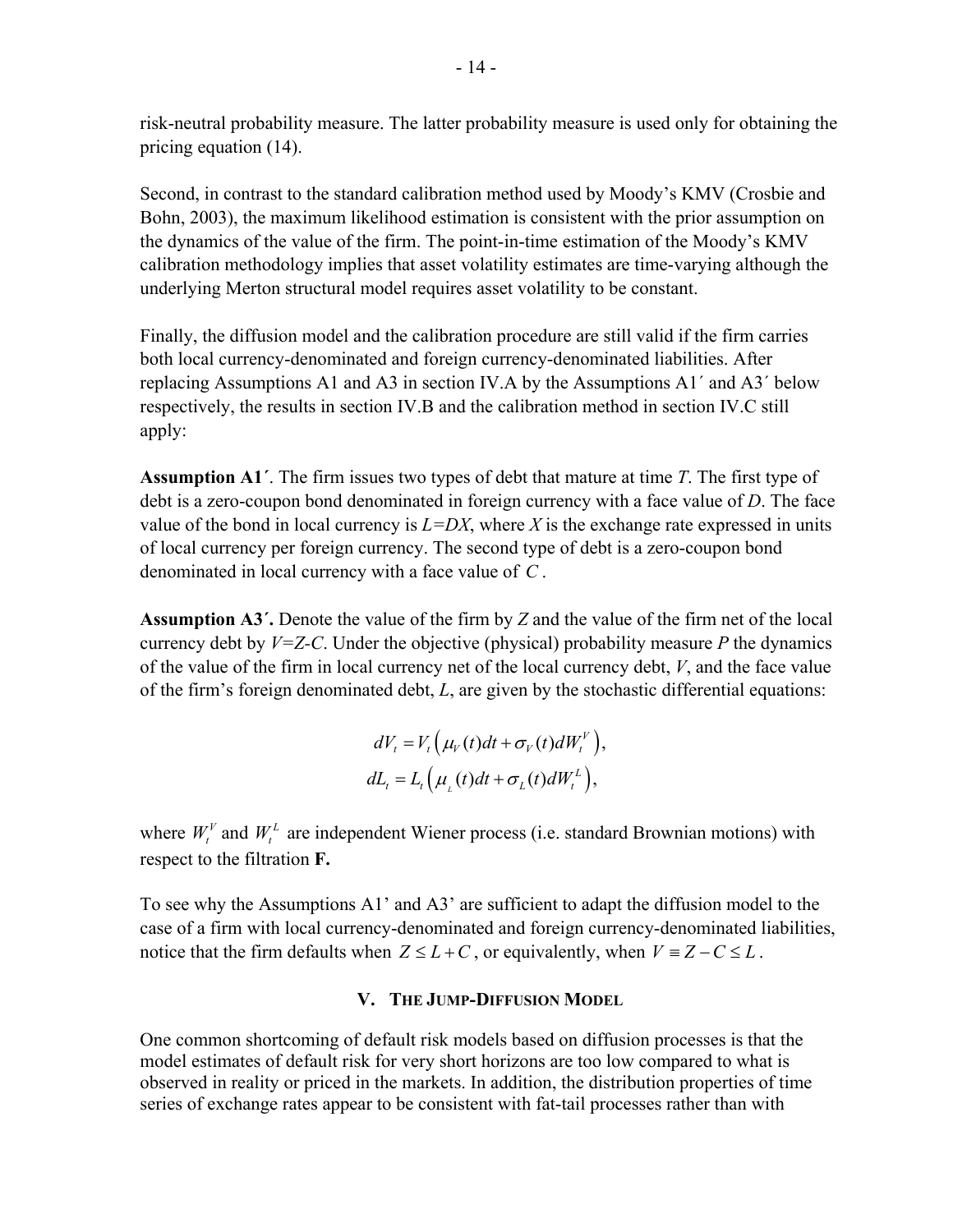risk-neutral probability measure. The latter probability measure is used only for obtaining the pricing equation (14).

Second, in contrast to the standard calibration method used by Moody's KMV (Crosbie and Bohn, 2003), the maximum likelihood estimation is consistent with the prior assumption on the dynamics of the value of the firm. The point-in-time estimation of the Moody's KMV calibration methodology implies that asset volatility estimates are time-varying although the underlying Merton structural model requires asset volatility to be constant.

Finally, the diffusion model and the calibration procedure are still valid if the firm carries both local currency-denominated and foreign currency-denominated liabilities. After replacing Assumptions A1 and A3 in section IV.A by the Assumptions A1´ and A3´ below respectively, the results in section IV.B and the calibration method in section IV.C still apply:

**Assumption A1´**. The firm issues two types of debt that mature at time *T*. The first type of debt is a zero-coupon bond denominated in foreign currency with a face value of *D*. The face value of the bond in local currency is  $L = DX$ , where *X* is the exchange rate expressed in units of local currency per foreign currency. The second type of debt is a zero-coupon bond denominated in local currency with a face value of *C* .

**Assumption A3´.** Denote the value of the firm by *Z* and the value of the firm net of the local currency debt by  $V=Z-C$ . Under the objective (physical) probability measure P the dynamics of the value of the firm in local currency net of the local currency debt, *V*, and the face value of the firm's foreign denominated debt, *L*, are given by the stochastic differential equations:

$$
dV_t = V_t(\mu_V(t)dt + \sigma_V(t)dW_t^V),
$$
  

$$
dL_t = L_t(\mu_L(t)dt + \sigma_L(t)dW_t^L),
$$

where  $W_t^V$  and  $W_t^L$  are independent Wiener process (i.e. standard Brownian motions) with respect to the filtration **F.** 

To see why the Assumptions A1' and A3' are sufficient to adapt the diffusion model to the case of a firm with local currency-denominated and foreign currency-denominated liabilities, notice that the firm defaults when  $Z \leq L + C$ , or equivalently, when  $V = Z - C \leq L$ .

# **V. THE JUMP-DIFFUSION MODEL**

One common shortcoming of default risk models based on diffusion processes is that the model estimates of default risk for very short horizons are too low compared to what is observed in reality or priced in the markets. In addition, the distribution properties of time series of exchange rates appear to be consistent with fat-tail processes rather than with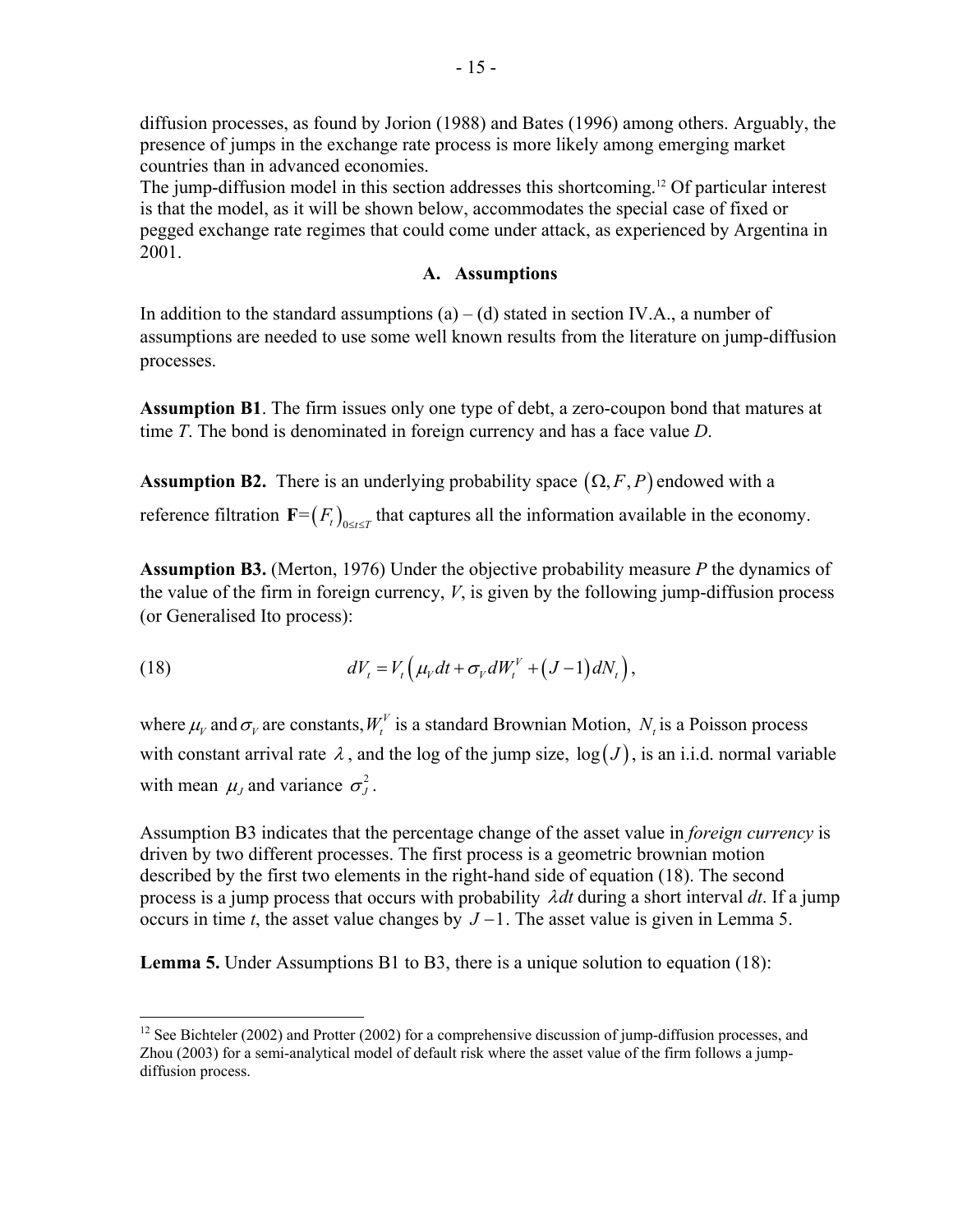diffusion processes, as found by Jorion (1988) and Bates (1996) among others. Arguably, the presence of jumps in the exchange rate process is more likely among emerging market countries than in advanced economies.

The jump-diffusion model in this section addresses this shortcoming.12 Of particular interest is that the model, as it will be shown below, accommodates the special case of fixed or pegged exchange rate regimes that could come under attack, as experienced by Argentina in 2001.

# **A. Assumptions**

In addition to the standard assumptions  $(a) - (d)$  stated in section IV.A., a number of assumptions are needed to use some well known results from the literature on jump-diffusion processes.

**Assumption B1**. The firm issues only one type of debt, a zero-coupon bond that matures at time *T*. The bond is denominated in foreign currency and has a face value *D*.

**Assumption B2.** There is an underlying probability space  $(\Omega, F, P)$  endowed with a reference filtration  $\mathbf{F} = (F_t)_{0 \le t \le T}$  that captures all the information available in the economy.

**Assumption B3.** (Merton, 1976) Under the objective probability measure *P* the dynamics of the value of the firm in foreign currency,  $V$ , is given by the following jump-diffusion process (or Generalised Ito process):

(18) 
$$
dV_t = V_t \left( \mu_V dt + \sigma_V dW_t^V + (J - 1) dN_t \right),
$$

<u>.</u>

where  $\mu$ <sub>*v*</sub> and  $\sigma$ <sub>*v*</sub> are constants,  $W_t^V$  is a standard Brownian Motion, *N*, is a Poisson process with constant arrival rate  $\lambda$ , and the log of the jump size,  $log(J)$ , is an i.i.d. normal variable with mean  $\mu$ <sub>*J*</sub> and variance  $\sigma_j^2$ .

Assumption B3 indicates that the percentage change of the asset value in *foreign currency* is driven by two different processes. The first process is a geometric brownian motion described by the first two elements in the right-hand side of equation (18). The second process is a jump process that occurs with probability λ*dt* during a short interval *dt*. If a jump occurs in time *t*, the asset value changes by *J* −1. The asset value is given in Lemma 5.

**Lemma 5.** Under Assumptions B1 to B3, there is a unique solution to equation (18):

 $12$  See Bichteler (2002) and Protter (2002) for a comprehensive discussion of jump-diffusion processes, and Zhou (2003) for a semi-analytical model of default risk where the asset value of the firm follows a jumpdiffusion process.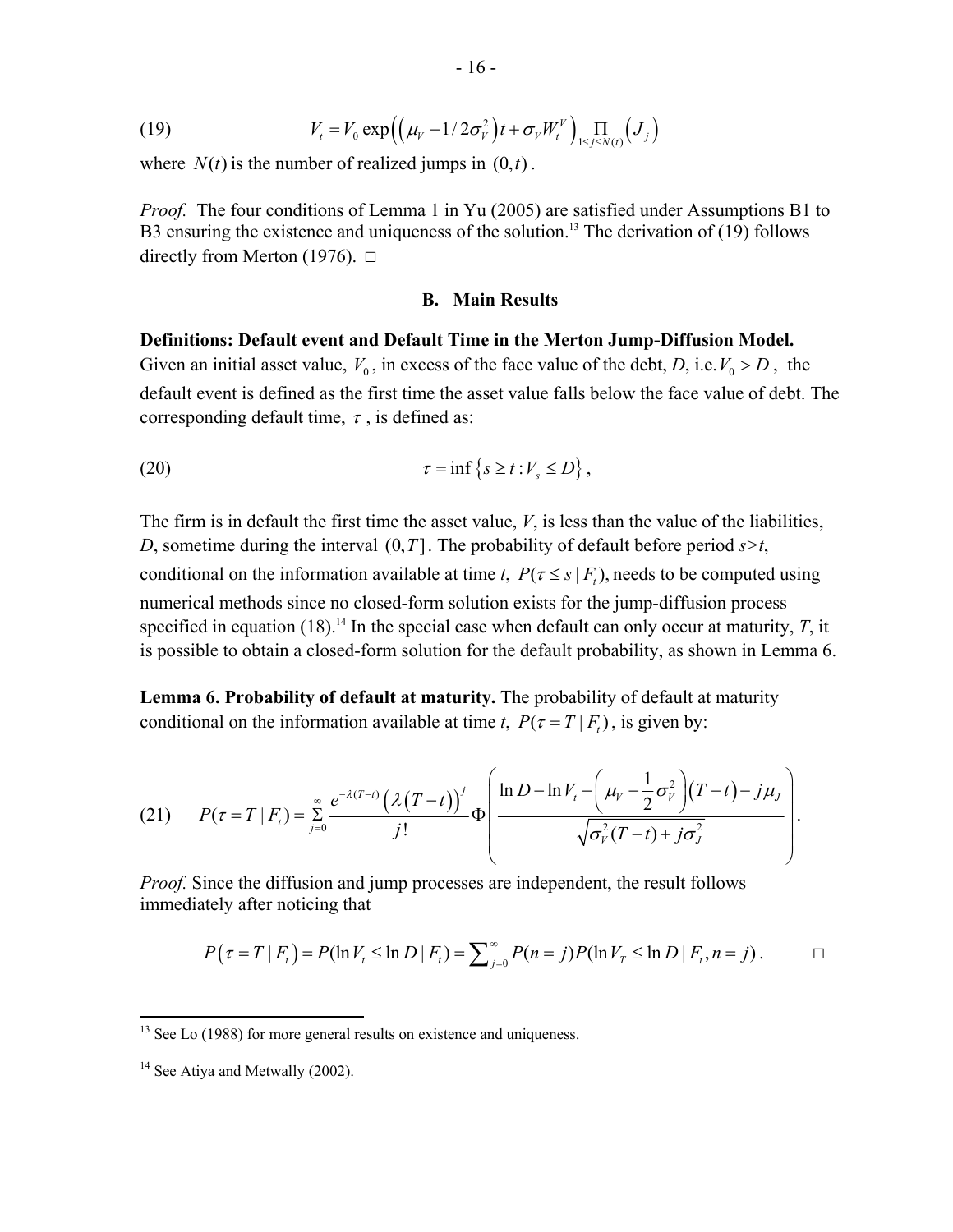(19) 
$$
V_t = V_0 \exp\left(\left(\mu_V - 1/2\sigma_V^2\right)t + \sigma_V W_t^V\right)_{1 \leq j \leq N(t)} \left(J_j\right)
$$

where  $N(t)$  is the number of realized jumps in  $(0, t)$ .

*Proof.* The four conditions of Lemma 1 in Yu (2005) are satisfied under Assumptions B1 to B3 ensuring the existence and uniqueness of the solution.<sup>13</sup> The derivation of  $(19)$  follows directly from Merton (1976).  $\square$ 

#### **B. Main Results**

**Definitions: Default event and Default Time in the Merton Jump-Diffusion Model.** Given an initial asset value,  $V_0$ , in excess of the face value of the debt, *D*, i.e.  $V_0 > D$ , the default event is defined as the first time the asset value falls below the face value of debt. The corresponding default time,  $\tau$ , is defined as:

$$
\tau = \inf \left\{ s \ge t : V_s \le D \right\},\,
$$

The firm is in default the first time the asset value, *V*, is less than the value of the liabilities, *D*, sometime during the interval  $(0, T]$ . The probability of default before period  $s > t$ , conditional on the information available at time *t*,  $P(\tau \le s \mid F_t)$ , needs to be computed using numerical methods since no closed-form solution exists for the jump-diffusion process specified in equation (18).<sup>14</sup> In the special case when default can only occur at maturity, *T*, it is possible to obtain a closed-form solution for the default probability, as shown in Lemma 6.

**Lemma 6. Probability of default at maturity.** The probability of default at maturity conditional on the information available at time *t*,  $P(\tau = T | F)$ , is given by:

$$
(21) \qquad P(\tau = T \mid F_t) = \sum_{j=0}^{\infty} \frac{e^{-\lambda(T-t)} \left(\lambda(T-t)\right)^j}{j!} \Phi\left(\frac{\ln D - \ln V_t - \left(\mu_V - \frac{1}{2}\sigma_V^2\right)(T-t) - j\mu_J}{\sqrt{\sigma_V^2(T-t) + j\sigma_J^2}}\right).
$$

*Proof.* Since the diffusion and jump processes are independent, the result follows immediately after noticing that

$$
P(\tau = T | F_t) = P(\ln V_t \le \ln D | F_t) = \sum_{j=0}^{\infty} P(n = j) P(\ln V_T \le \ln D | F_t, n = j).
$$

 $\overline{a}$ 

 $13$  See Lo (1988) for more general results on existence and uniqueness.

 $14$  See Atiya and Metwally (2002).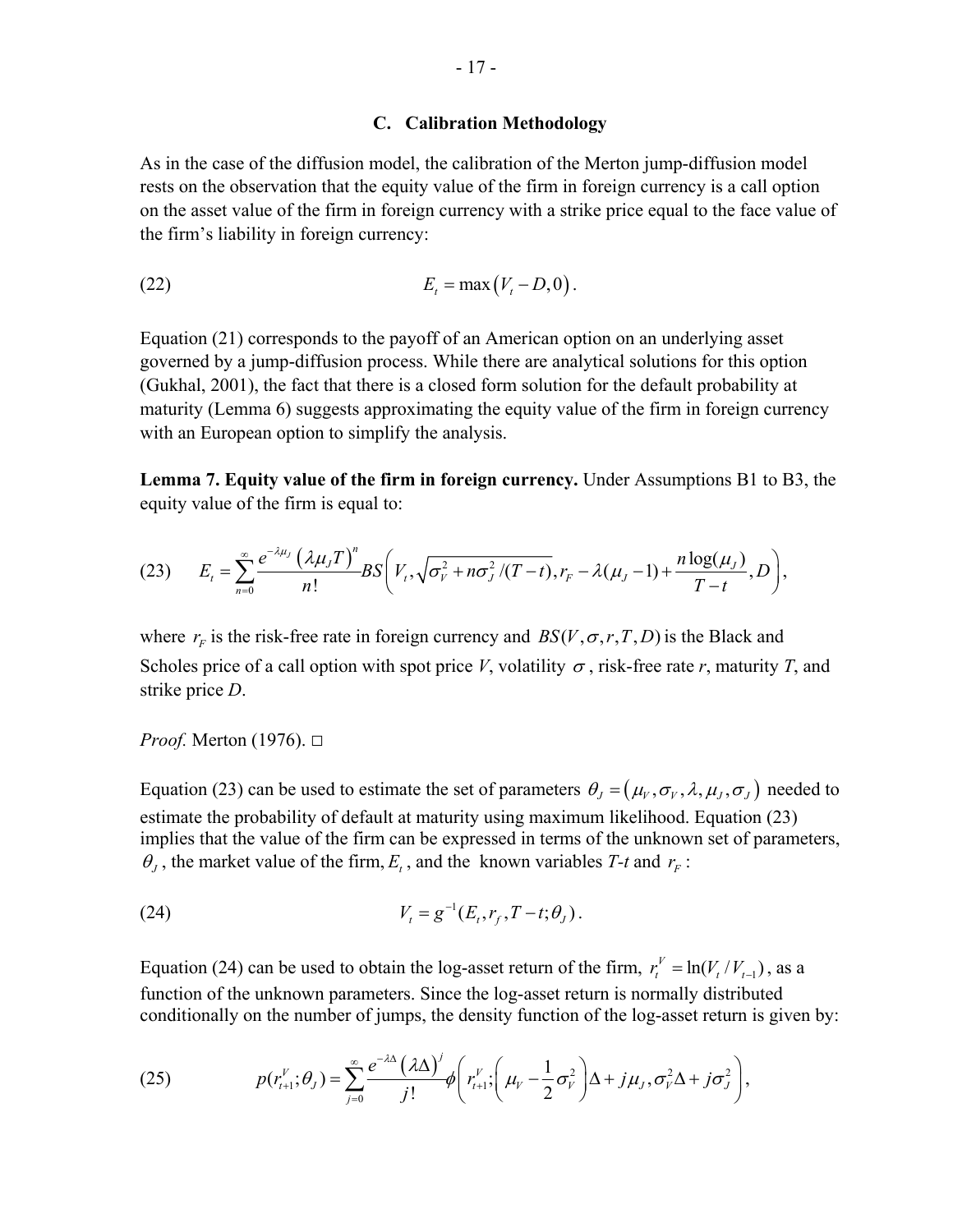#### **C. Calibration Methodology**

As in the case of the diffusion model, the calibration of the Merton jump-diffusion model rests on the observation that the equity value of the firm in foreign currency is a call option on the asset value of the firm in foreign currency with a strike price equal to the face value of the firm's liability in foreign currency:

$$
(22) \t\t\t\t E_t = \max(V_t - D, 0).
$$

Equation (21) corresponds to the payoff of an American option on an underlying asset governed by a jump-diffusion process. While there are analytical solutions for this option (Gukhal, 2001), the fact that there is a closed form solution for the default probability at maturity (Lemma 6) suggests approximating the equity value of the firm in foreign currency with an European option to simplify the analysis.

**Lemma 7. Equity value of the firm in foreign currency.** Under Assumptions B1 to B3, the equity value of the firm is equal to:

(23) 
$$
E_{t} = \sum_{n=0}^{\infty} \frac{e^{-\lambda \mu_{J}} (\lambda \mu_{J} T)^{n}}{n!} BS\bigg(V_{t}, \sqrt{\sigma_{V}^{2} + n \sigma_{J}^{2}/(T-t)}, r_{F} - \lambda(\mu_{J} - 1) + \frac{n \log(\mu_{J})}{T-t}, D\bigg),
$$

where  $r_r$  is the risk-free rate in foreign currency and  $BS(V, \sigma, r, T, D)$  is the Black and Scholes price of a call option with spot price *V*, volatility  $\sigma$ , risk-free rate *r*, maturity *T*, and strike price *D*.

#### *Proof.* Merton (1976). □

Equation (23) can be used to estimate the set of parameters  $\theta_j = (\mu_{V}, \sigma_{V}, \lambda, \mu_{J}, \sigma_{J})$  needed to estimate the probability of default at maturity using maximum likelihood. Equation (23) implies that the value of the firm can be expressed in terms of the unknown set of parameters,  $\theta$ <sub>*I*</sub>, the market value of the firm,  $E_t$ , and the known variables *T*-*t* and  $r_F$ :

(24) 
$$
V_t = g^{-1}(E_t, r_f, T-t; \theta_J).
$$

Equation (24) can be used to obtain the log-asset return of the firm,  $r_t^V = \ln(V_t / V_{t-1})$ , as a function of the unknown parameters. Since the log-asset return is normally distributed conditionally on the number of jumps, the density function of the log-asset return is given by:

(25) 
$$
p(r_{t+1}^V; \theta_J) = \sum_{j=0}^{\infty} \frac{e^{-\lambda \Delta} (\lambda \Delta)^j}{j!} \phi\left(r_{t+1}^V; \left(\mu_V - \frac{1}{2} \sigma_V^2\right) \Delta + j \mu_J, \sigma_V^2 \Delta + j \sigma_J^2\right),
$$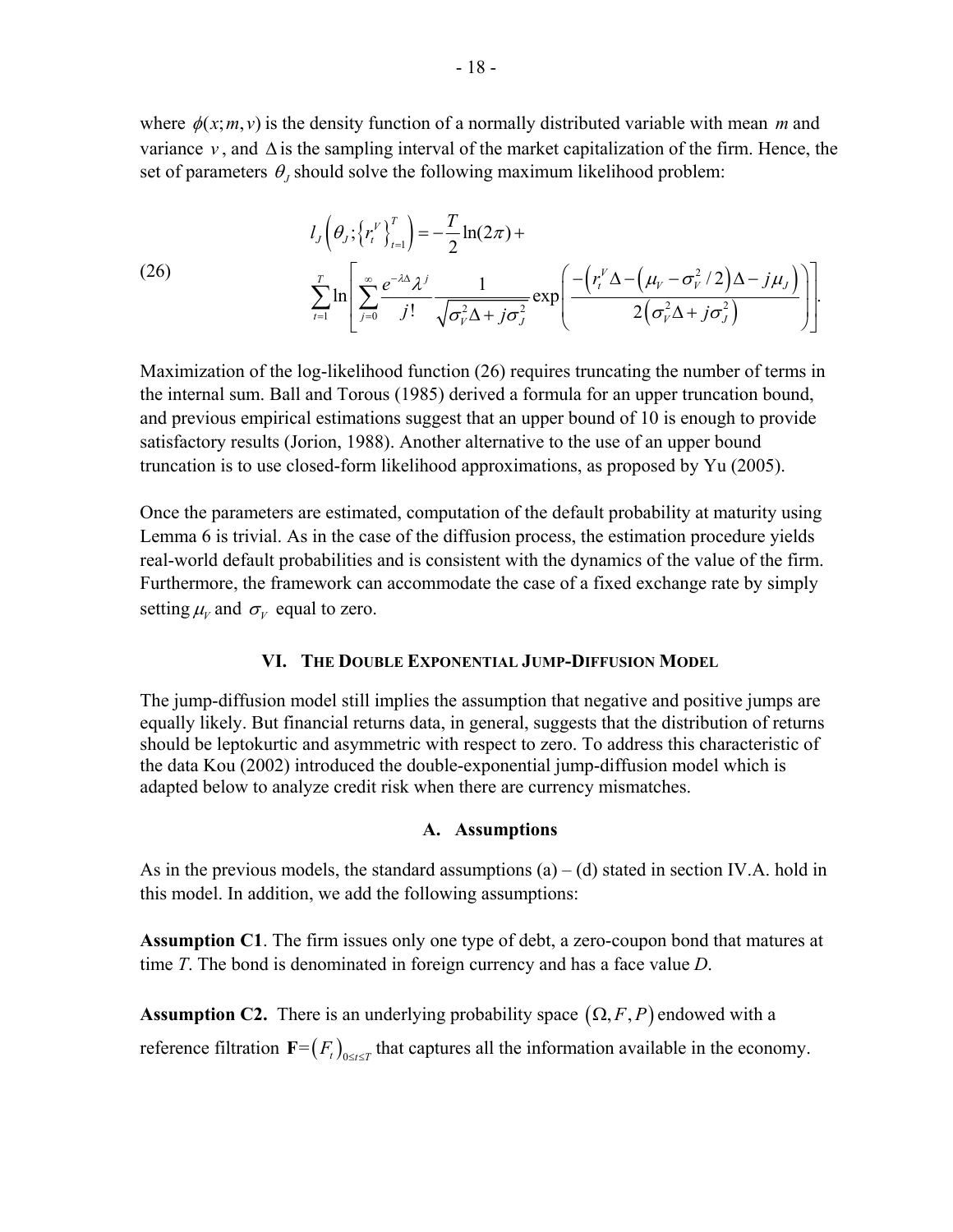where  $\phi(x; m, y)$  is the density function of a normally distributed variable with mean *m* and variance *v* , and ∆is the sampling interval of the market capitalization of the firm. Hence, the set of parameters  $\theta$ <sub>*J*</sub> should solve the following maximum likelihood problem:

(26)  

$$
l_{J}\left(\theta_{J};\left\{r_{i}^{V}\right\}_{t=1}^{T}\right) = -\frac{T}{2}\ln(2\pi) + \sum_{t=1}^{T}\ln\left(\sum_{j=0}^{\infty}\frac{e^{-\lambda\Delta}\lambda^{j}}{j!}\frac{1}{\sqrt{\sigma_{V}^{2}\Delta + j\sigma_{J}^{2}}}\exp\left(\frac{-(r_{i}^{V}\Delta - (\mu_{V} - \sigma_{V}^{2}/2)\Delta - j\mu_{J})}{2(\sigma_{V}^{2}\Delta + j\sigma_{J}^{2})}\right)\right].
$$

Maximization of the log-likelihood function (26) requires truncating the number of terms in the internal sum. Ball and Torous (1985) derived a formula for an upper truncation bound, and previous empirical estimations suggest that an upper bound of 10 is enough to provide satisfactory results (Jorion, 1988). Another alternative to the use of an upper bound truncation is to use closed-form likelihood approximations, as proposed by Yu (2005).

Once the parameters are estimated, computation of the default probability at maturity using Lemma 6 is trivial. As in the case of the diffusion process, the estimation procedure yields real-world default probabilities and is consistent with the dynamics of the value of the firm. Furthermore, the framework can accommodate the case of a fixed exchange rate by simply setting  $\mu$ <sub>*v*</sub> and  $\sigma$ <sub>*v*</sub> equal to zero.

#### **VI. THE DOUBLE EXPONENTIAL JUMP-DIFFUSION MODEL**

The jump-diffusion model still implies the assumption that negative and positive jumps are equally likely. But financial returns data, in general, suggests that the distribution of returns should be leptokurtic and asymmetric with respect to zero. To address this characteristic of the data Kou (2002) introduced the double-exponential jump-diffusion model which is adapted below to analyze credit risk when there are currency mismatches.

#### **A. Assumptions**

As in the previous models, the standard assumptions  $(a) - (d)$  stated in section IV.A. hold in this model. In addition, we add the following assumptions:

**Assumption C1**. The firm issues only one type of debt, a zero-coupon bond that matures at time *T*. The bond is denominated in foreign currency and has a face value *D*.

**Assumption C2.** There is an underlying probability space  $(\Omega, F, P)$  endowed with a reference filtration  $\mathbf{F} = (F_t)_{0 \le t \le T}$  that captures all the information available in the economy.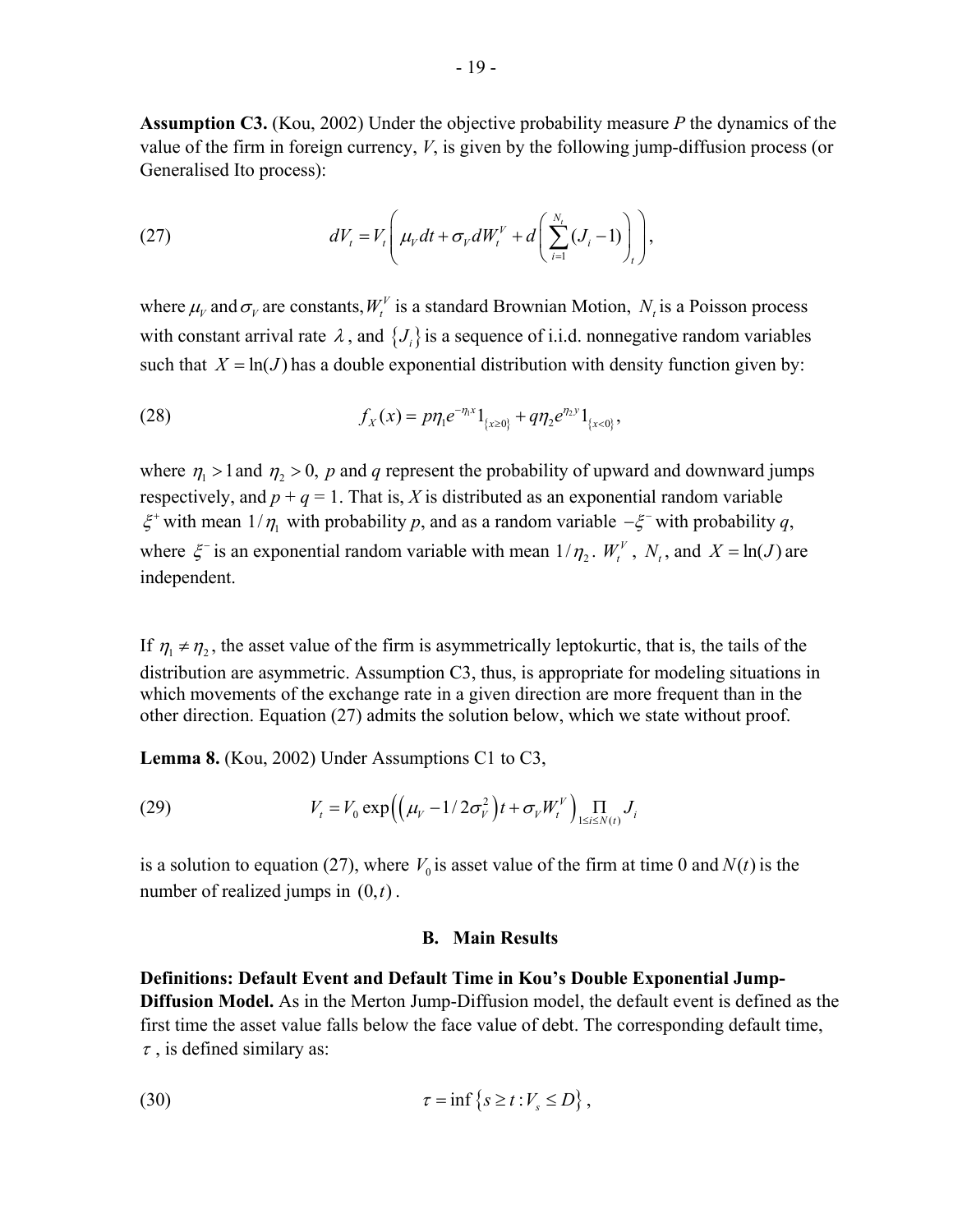**Assumption C3.** (Kou, 2002) Under the objective probability measure *P* the dynamics of the value of the firm in foreign currency, *V*, is given by the following jump-diffusion process (or Generalised Ito process):

(27) 
$$
dV_t = V_t \left( \mu_V dt + \sigma_V dW_t^V + d \left( \sum_{i=1}^{N_t} (J_i - 1) \right)_t \right),
$$

where  $\mu_V$  and  $\sigma_V$  are constants,  $W_t^V$  is a standard Brownian Motion,  $N_t$  is a Poisson process with constant arrival rate  $\lambda$ , and  $\{J_i\}$  is a sequence of i.i.d. nonnegative random variables such that  $X = \ln(J)$  has a double exponential distribution with density function given by:

(28) 
$$
f_X(x) = p\eta_1 e^{-\eta_1 x} 1_{\{x \ge 0\}} + q\eta_2 e^{\eta_2 y} 1_{\{x < 0\}},
$$

where  $\eta_1 > 1$  and  $\eta_2 > 0$ , *p* and *q* represent the probability of upward and downward jumps respectively, and  $p + q = 1$ . That is, *X* is distributed as an exponential random variable  $\xi^+$  with mean  $1/\eta_1$  with probability *p*, and as a random variable  $-\xi^-$  with probability *q*, where  $\xi^-$  is an exponential random variable with mean  $1/\eta_2$ .  $W_t^V$ ,  $N_t$ , and  $X = \ln(J)$  are independent.

If  $\eta_1 \neq \eta_2$ , the asset value of the firm is asymmetrically leptokurtic, that is, the tails of the distribution are asymmetric. Assumption C3, thus, is appropriate for modeling situations in which movements of the exchange rate in a given direction are more frequent than in the other direction. Equation (27) admits the solution below, which we state without proof.

**Lemma 8.** (Kou, 2002) Under Assumptions C1 to C3,

(29) 
$$
V_{t} = V_{0} \exp((\mu_{V} - 1/2\sigma_{V}^{2})t + \sigma_{V}W_{t}^{V}) \prod_{1 \leq i \leq N(t)} J_{i}
$$

is a solution to equation (27), where  $V_0$  is asset value of the firm at time 0 and  $N(t)$  is the number of realized jumps in  $(0, t)$ .

#### **B. Main Results**

**Definitions: Default Event and Default Time in Kou's Double Exponential Jump-Diffusion Model.** As in the Merton Jump-Diffusion model, the default event is defined as the first time the asset value falls below the face value of debt. The corresponding default time,  $\tau$ , is defined similary as:

$$
\tau = \inf \left\{ s \ge t : V_s \le D \right\},\,
$$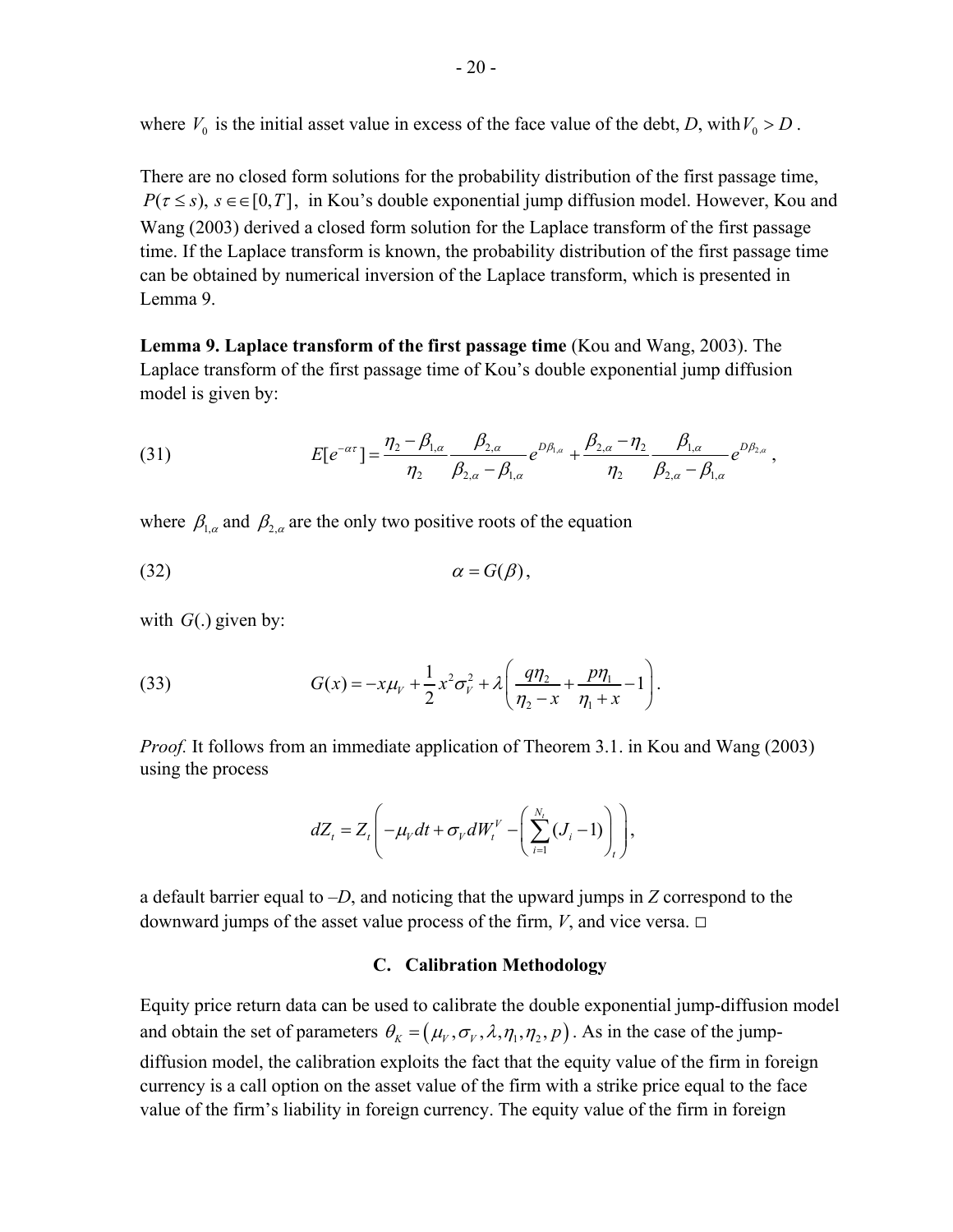where  $V_0$  is the initial asset value in excess of the face value of the debt, *D*, with  $V_0 > D$ .

There are no closed form solutions for the probability distribution of the first passage time,  $P(\tau \leq s)$ ,  $s \in \{0, T\}$ , in Kou's double exponential jump diffusion model. However, Kou and Wang (2003) derived a closed form solution for the Laplace transform of the first passage time. If the Laplace transform is known, the probability distribution of the first passage time can be obtained by numerical inversion of the Laplace transform, which is presented in Lemma 9.

**Lemma 9. Laplace transform of the first passage time** (Kou and Wang, 2003). The Laplace transform of the first passage time of Kou's double exponential jump diffusion model is given by:

(31) 
$$
E[e^{-\alpha \tau}] = \frac{\eta_2 - \beta_{1,\alpha}}{\eta_2} \frac{\beta_{2,\alpha}}{\beta_{2,\alpha} - \beta_{1,\alpha}} e^{D\beta_{1,\alpha}} + \frac{\beta_{2,\alpha} - \eta_2}{\eta_2} \frac{\beta_{1,\alpha}}{\beta_{2,\alpha} - \beta_{1,\alpha}} e^{D\beta_{2,\alpha}},
$$

where  $\beta_{1,\alpha}$  and  $\beta_{2,\alpha}$  are the only two positive roots of the equation

$$
\alpha = G(\beta),
$$

with  $G(.)$  given by:

(33) 
$$
G(x) = -x\mu_{v} + \frac{1}{2}x^{2}\sigma_{v}^{2} + \lambda \left(\frac{q\eta_{2}}{\eta_{2} - x} + \frac{p\eta_{1}}{\eta_{1} + x} - 1\right).
$$

*Proof.* It follows from an immediate application of Theorem 3.1. in Kou and Wang (2003) using the process

$$
dZ_t = Z_t \left( -\mu_V dt + \sigma_V dW_t^V - \left( \sum_{i=1}^{N_t} (J_i - 1) \right)_t \right),
$$

a default barrier equal to –*D*, and noticing that the upward jumps in *Z* correspond to the downward jumps of the asset value process of the firm,  $V$ , and vice versa.  $\square$ 

#### **C. Calibration Methodology**

Equity price return data can be used to calibrate the double exponential jump-diffusion model and obtain the set of parameters  $\theta_K = (\mu_V, \sigma_V, \lambda, \eta_1, \eta_2, p)$ . As in the case of the jumpdiffusion model, the calibration exploits the fact that the equity value of the firm in foreign currency is a call option on the asset value of the firm with a strike price equal to the face value of the firm's liability in foreign currency. The equity value of the firm in foreign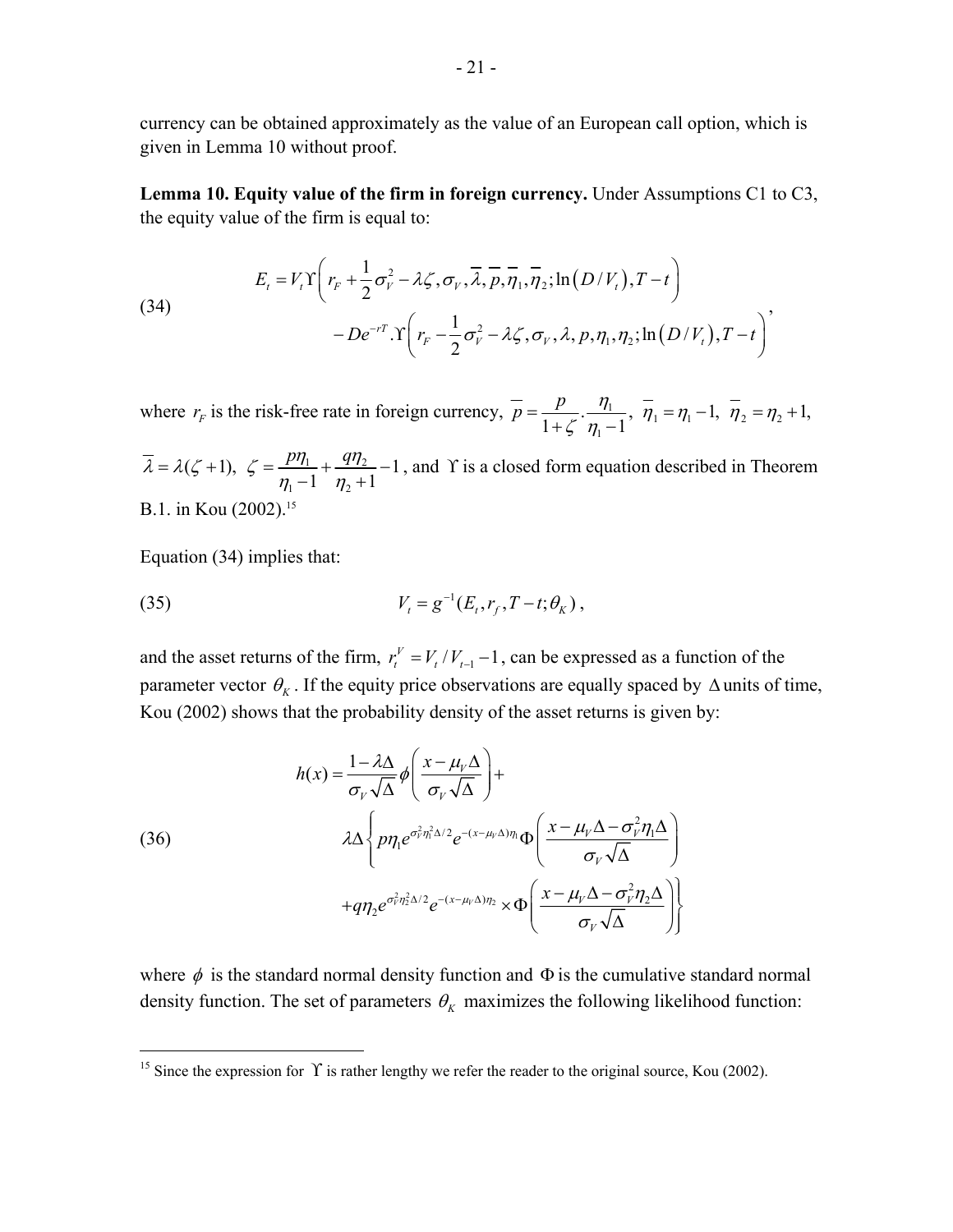currency can be obtained approximately as the value of an European call option, which is given in Lemma 10 without proof.

**Lemma 10. Equity value of the firm in foreign currency.** Under Assumptions C1 to C3, the equity value of the firm is equal to:

(34)  

$$
E_t = V_t \Upsilon \left( r_F + \frac{1}{2} \sigma_V^2 - \lambda \zeta, \sigma_V, \overline{\lambda}, \overline{p}, \overline{\eta}_1, \overline{\eta}_2; \ln(D/V_t), T - t \right)
$$

$$
-De^{-rT} \Upsilon \left( r_F - \frac{1}{2} \sigma_V^2 - \lambda \zeta, \sigma_V, \lambda, p, \eta_1, \eta_2; \ln(D/V_t), T - t \right)
$$

where  $r_F$  is the risk-free rate in foreign currency,  $p = \frac{P}{1 + \epsilon} \cdot \frac{r_1}{r_1}$  $\overline{p} = \frac{p}{1+\zeta} \cdot \frac{\eta_1}{\eta_1-1}, \ \overline{\eta}_1 = \eta_1-1, \ \overline{\eta}_2 = \eta_2+1,$ 

 $\lambda = \lambda(\zeta + 1), \; \zeta = \frac{P\eta_1}{4} + \frac{q\eta_2}{4}$  $1 - 1$   $\frac{1}{2}$ 1  $1 \eta_{2} + 1$  $\zeta = \frac{p\eta_1}{4} + \frac{q\eta_2}{4}$  $\eta_1 - 1$   $\eta_2$  $=\frac{P^{\prime}\prime_{1}}{P}+\frac{q^{\prime}\prime_{2}}{P} -1$   $\eta$ <sup>+</sup> , and ϒ is a closed form equation described in Theorem B.1. in Kou (2002).15

Equation (34) implies that:

 $\overline{a}$ 

(35) 
$$
V_t = g^{-1}(E_t, r_f, T - t; \theta_K),
$$

and the asset returns of the firm,  $r_t^V = V_t / V_{t-1} - 1$ , can be expressed as a function of the parameter vector  $\theta_K$ . If the equity price observations are equally spaced by ∆ units of time, Kou (2002) shows that the probability density of the asset returns is given by:

(36)  
\n
$$
h(x) = \frac{1 - \lambda \Delta}{\sigma_V \sqrt{\Delta}} \phi \left( \frac{x - \mu_V \Delta}{\sigma_V \sqrt{\Delta}} \right) +
$$
\n
$$
\lambda \Delta \left\{ p \eta_1 e^{\sigma_V^2 \eta_1^2 \Delta/2} e^{-(x - \mu_V \Delta)\eta_1} \Phi \left( \frac{x - \mu_V \Delta - \sigma_V^2 \eta_1 \Delta}{\sigma_V \sqrt{\Delta}} \right) + q \eta_2 e^{\sigma_V^2 \eta_2^2 \Delta/2} e^{-(x - \mu_V \Delta)\eta_2} \times \Phi \left( \frac{x - \mu_V \Delta - \sigma_V^2 \eta_2 \Delta}{\sigma_V \sqrt{\Delta}} \right) \right\}
$$

where  $\phi$  is the standard normal density function and  $\Phi$  is the cumulative standard normal density function. The set of parameters  $\theta_K$  maximizes the following likelihood function:

<sup>&</sup>lt;sup>15</sup> Since the expression for  $\Upsilon$  is rather lengthy we refer the reader to the original source, Kou (2002).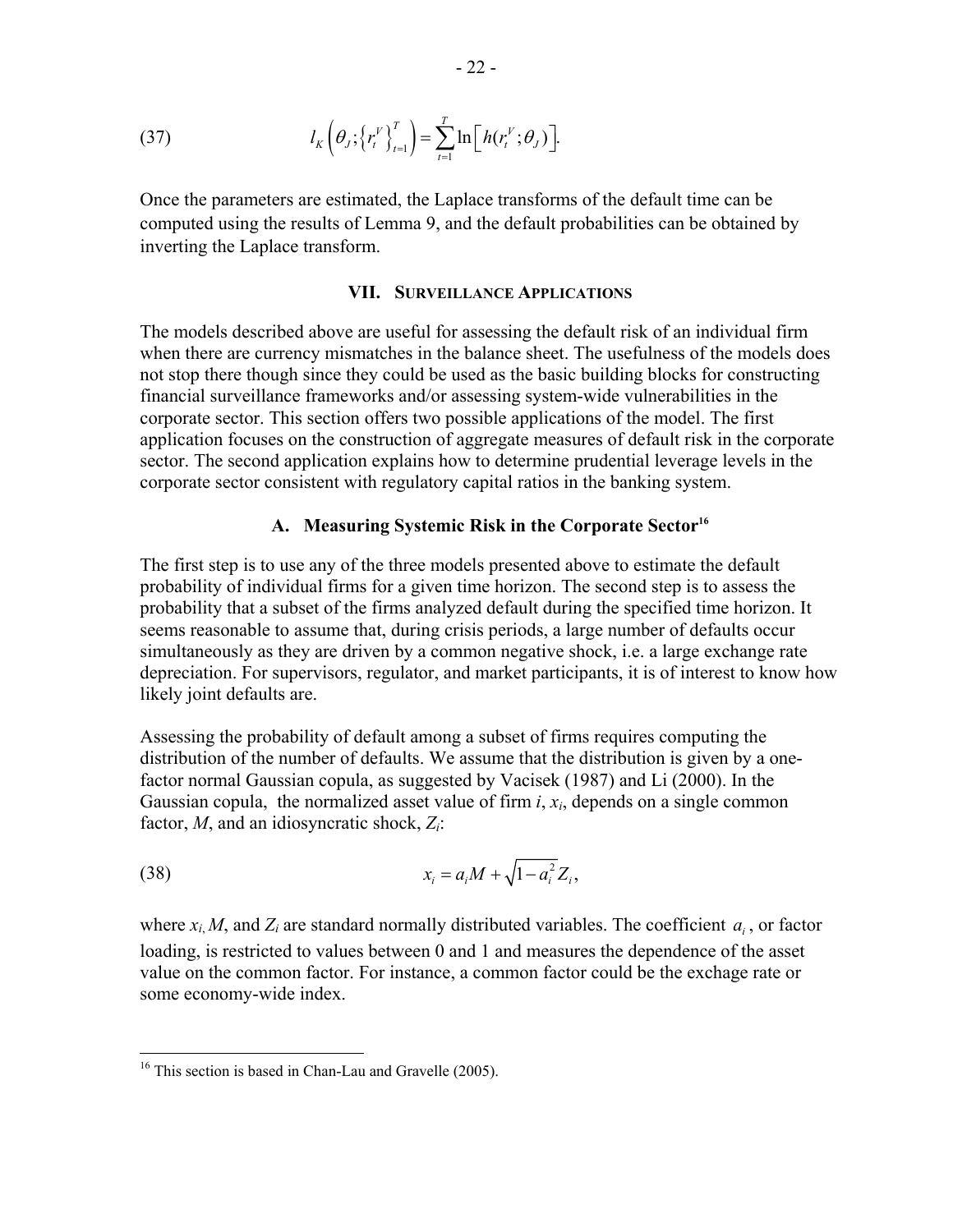(37) 
$$
l_K\left(\theta_j;\left\{r_t^V\right\}_{t=1}^T\right)=\sum_{t=1}^T\ln\left[h(r_t^V;\theta_j)\right].
$$

Once the parameters are estimated, the Laplace transforms of the default time can be computed using the results of Lemma 9, and the default probabilities can be obtained by inverting the Laplace transform.

#### **VII. SURVEILLANCE APPLICATIONS**

The models described above are useful for assessing the default risk of an individual firm when there are currency mismatches in the balance sheet. The usefulness of the models does not stop there though since they could be used as the basic building blocks for constructing financial surveillance frameworks and/or assessing system-wide vulnerabilities in the corporate sector. This section offers two possible applications of the model. The first application focuses on the construction of aggregate measures of default risk in the corporate sector. The second application explains how to determine prudential leverage levels in the corporate sector consistent with regulatory capital ratios in the banking system.

#### A. Measuring Systemic Risk in the Corporate Sector<sup>16</sup>

The first step is to use any of the three models presented above to estimate the default probability of individual firms for a given time horizon. The second step is to assess the probability that a subset of the firms analyzed default during the specified time horizon. It seems reasonable to assume that, during crisis periods, a large number of defaults occur simultaneously as they are driven by a common negative shock, i.e. a large exchange rate depreciation. For supervisors, regulator, and market participants, it is of interest to know how likely joint defaults are.

Assessing the probability of default among a subset of firms requires computing the distribution of the number of defaults. We assume that the distribution is given by a onefactor normal Gaussian copula, as suggested by Vacisek (1987) and Li (2000). In the Gaussian copula, the normalized asset value of firm *i*, *xi*, depends on a single common factor, *M*, and an idiosyncratic shock, *Zi*:

(38) 
$$
x_i = a_i M + \sqrt{1 - a_i^2} Z_i,
$$

where  $x_i$ , *M*, and  $Z_i$  are standard normally distributed variables. The coefficient  $a_i$ , or factor loading, is restricted to values between 0 and 1 and measures the dependence of the asset value on the common factor. For instance, a common factor could be the exchage rate or some economy-wide index.

 $\overline{a}$ 

<sup>&</sup>lt;sup>16</sup> This section is based in Chan-Lau and Gravelle (2005).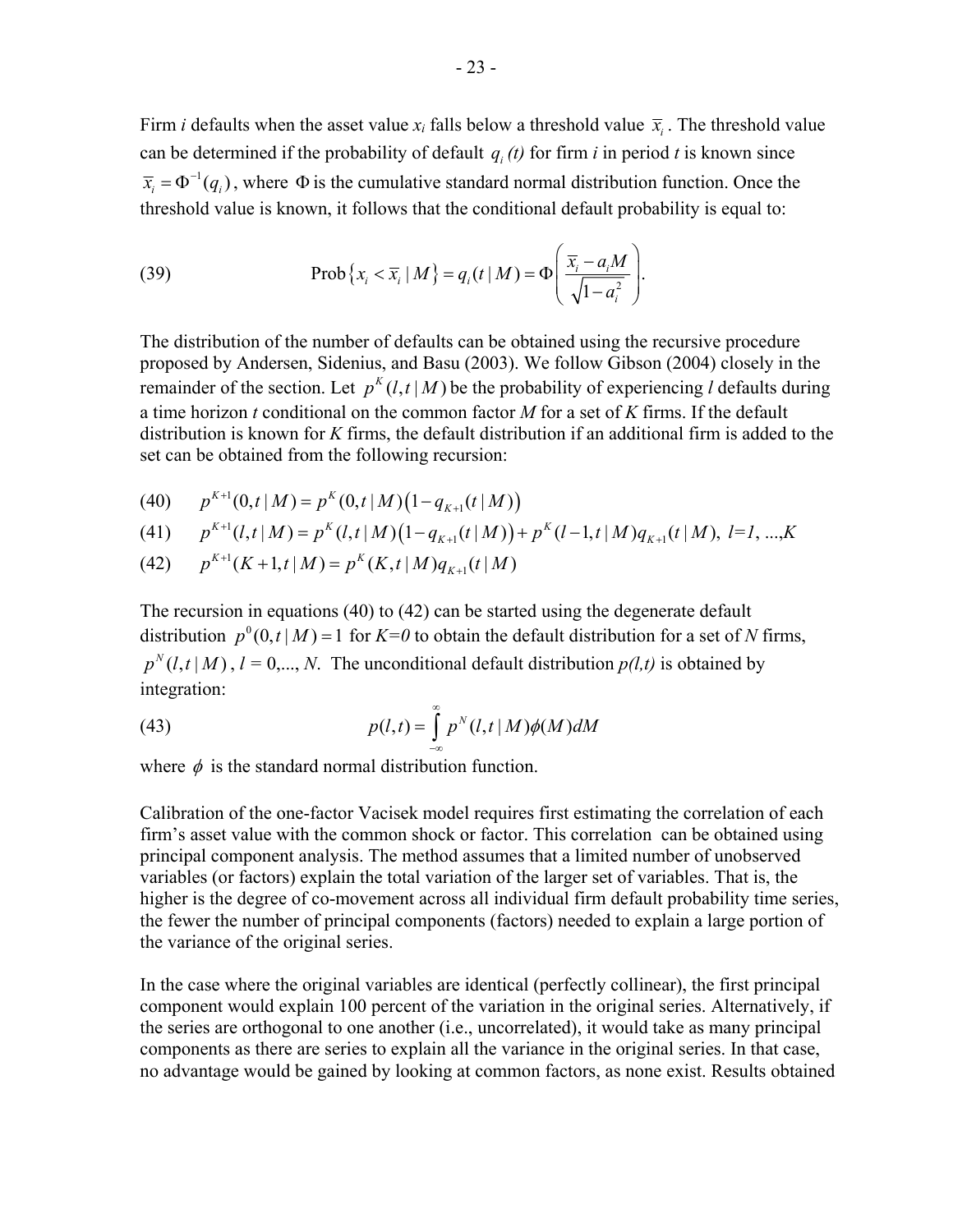Firm *i* defaults when the asset value  $x_i$  falls below a threshold value  $\bar{x}_i$ . The threshold value can be determined if the probability of default  $q_i(t)$  for firm *i* in period *t* is known since  $\overline{x}_i = \Phi^{-1}(q_i)$ , where  $\Phi$  is the cumulative standard normal distribution function. Once the threshold value is known, it follows that the conditional default probability is equal to:

(39) 
$$
\operatorname{Prob}\left\{x_i < \overline{x}_i \mid M\right\} = q_i(t \mid M) = \Phi\left(\frac{\overline{x}_i - a_i M}{\sqrt{1 - a_i^2}}\right).
$$

The distribution of the number of defaults can be obtained using the recursive procedure proposed by Andersen, Sidenius, and Basu (2003). We follow Gibson (2004) closely in the remainder of the section. Let  $p^{k}(l, t | M)$  be the probability of experiencing *l* defaults during a time horizon *t* conditional on the common factor *M* for a set of *K* firms. If the default distribution is known for *K* firms, the default distribution if an additional firm is added to the set can be obtained from the following recursion:

(40) 
$$
p^{K+1}(0,t|M) = p^{K}(0,t|M)(1-q_{K+1}(t|M))
$$

(41) 
$$
p^{K+1}(l,t|M) = p^{K}(l,t|M)(1-q_{K+1}(t|M)) + p^{K}(l-1,t|M)q_{K+1}(t|M), l=1,...,K
$$

(42) 
$$
p^{K+1}(K+1,t|M) = p^{K}(K,t|M)q_{K+1}(t|M)
$$

The recursion in equations (40) to (42) can be started using the degenerate default distribution  $p^{0}(0, t | M) = 1$  for  $K=0$  to obtain the default distribution for a set of *N* firms,  $p^{N}(l, t | M)$ ,  $l = 0,..., N$ . The unconditional default distribution  $p(l,t)$  is obtained by integration:

(43) 
$$
p(l,t) = \int_{-\infty}^{\infty} p^N(l,t \mid M) \phi(M) dM
$$

where  $\phi$  is the standard normal distribution function.

Calibration of the one-factor Vacisek model requires first estimating the correlation of each firm's asset value with the common shock or factor. This correlation can be obtained using principal component analysis. The method assumes that a limited number of unobserved variables (or factors) explain the total variation of the larger set of variables. That is, the higher is the degree of co-movement across all individual firm default probability time series, the fewer the number of principal components (factors) needed to explain a large portion of the variance of the original series.

In the case where the original variables are identical (perfectly collinear), the first principal component would explain 100 percent of the variation in the original series. Alternatively, if the series are orthogonal to one another (i.e., uncorrelated), it would take as many principal components as there are series to explain all the variance in the original series. In that case, no advantage would be gained by looking at common factors, as none exist. Results obtained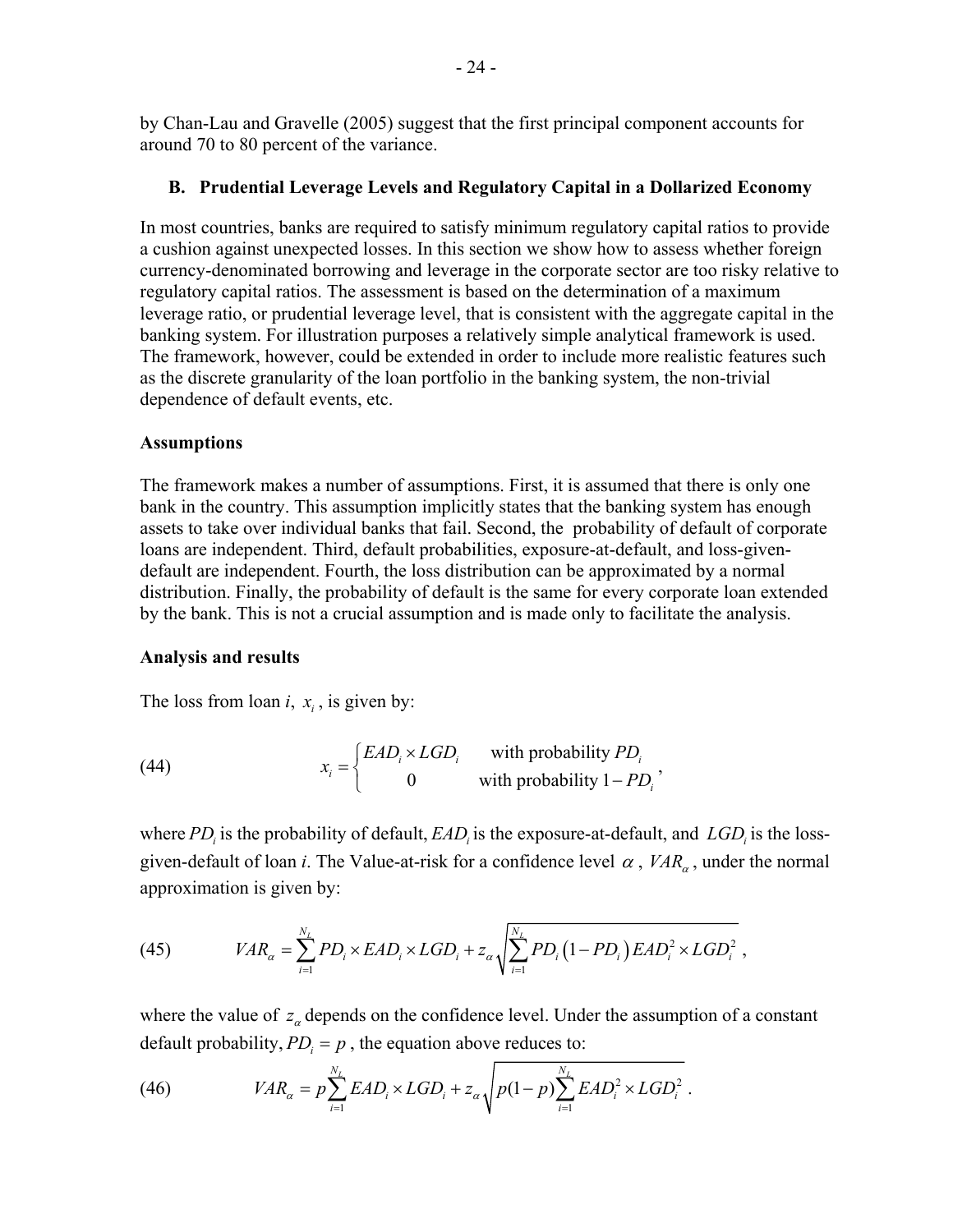by Chan-Lau and Gravelle (2005) suggest that the first principal component accounts for around 70 to 80 percent of the variance.

#### **B. Prudential Leverage Levels and Regulatory Capital in a Dollarized Economy**

In most countries, banks are required to satisfy minimum regulatory capital ratios to provide a cushion against unexpected losses. In this section we show how to assess whether foreign currency-denominated borrowing and leverage in the corporate sector are too risky relative to regulatory capital ratios. The assessment is based on the determination of a maximum leverage ratio, or prudential leverage level, that is consistent with the aggregate capital in the banking system. For illustration purposes a relatively simple analytical framework is used. The framework, however, could be extended in order to include more realistic features such as the discrete granularity of the loan portfolio in the banking system, the non-trivial dependence of default events, etc.

#### **Assumptions**

The framework makes a number of assumptions. First, it is assumed that there is only one bank in the country. This assumption implicitly states that the banking system has enough assets to take over individual banks that fail. Second, the probability of default of corporate loans are independent. Third, default probabilities, exposure-at-default, and loss-givendefault are independent. Fourth, the loss distribution can be approximated by a normal distribution. Finally, the probability of default is the same for every corporate loan extended by the bank. This is not a crucial assumption and is made only to facilitate the analysis.

#### **Analysis and results**

The loss from loan  $i$ ,  $x_i$ , is given by:

(44) 
$$
x_i = \begin{cases} EAD_i \times LGD_i & \text{with probability } PD_i \\ 0 & \text{with probability } 1 - PD_i \end{cases}
$$

where  $PD_i$  is the probability of default,  $EAD_i$  is the exposure-at-default, and  $LGD_i$  is the lossgiven-default of loan *i*. The Value-at-risk for a confidence level  $\alpha$ ,  $VAR_{\alpha}$ , under the normal approximation is given by:

(45) 
$$
VAR_{\alpha} = \sum_{i=1}^{N_L} PD_i \times EAD_i \times LGD_i + z_{\alpha} \sqrt{\sum_{i=1}^{N_L} PD_i (1 - PD_i) EAD_i^2 \times LGD_i^2},
$$

where the value of  $z_a$  depends on the confidence level. Under the assumption of a constant default probability,  $PD_i = p$ , the equation above reduces to:

(46) 
$$
VAR_{\alpha} = p \sum_{i=1}^{N_L} EAD_i \times LGD_i + z_{\alpha} \sqrt{p(1-p) \sum_{i=1}^{N_L} EAD_i^2 \times LGD_i^2}.
$$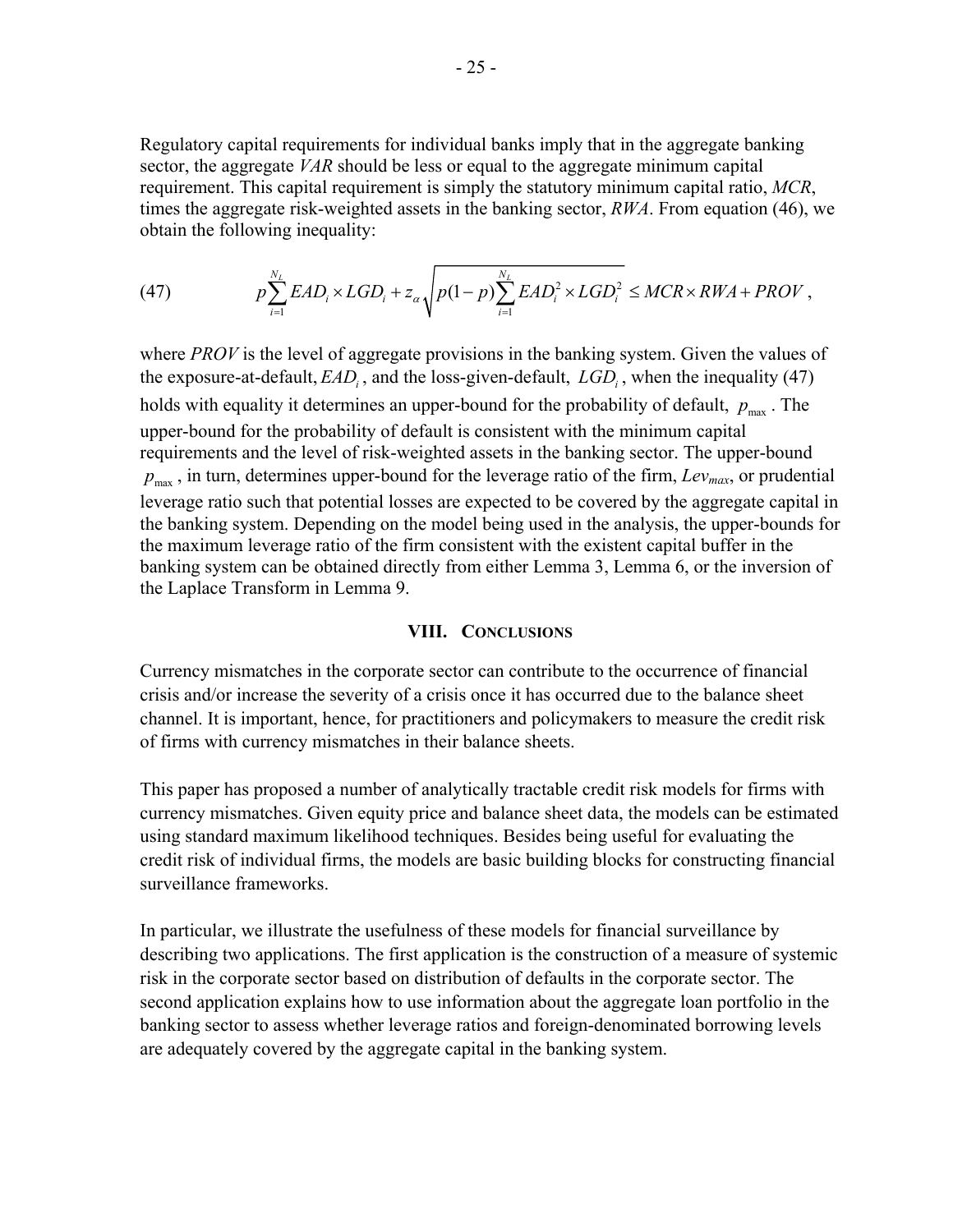Regulatory capital requirements for individual banks imply that in the aggregate banking sector, the aggregate *VAR* should be less or equal to the aggregate minimum capital requirement. This capital requirement is simply the statutory minimum capital ratio, *MCR*, times the aggregate risk-weighted assets in the banking sector, *RWA*. From equation (46), we obtain the following inequality:

(47) 
$$
p\sum_{i=1}^{N_L} EAD_i \times LGD_i + z_\alpha \sqrt{p(1-p)\sum_{i=1}^{N_L} EAD_i^2 \times LGD_i^2} \leq MCR \times RWA + PROV,
$$

where *PROV* is the level of aggregate provisions in the banking system. Given the values of the exposure-at-default, *EAD<sub>i</sub>*, and the loss-given-default, *LGD<sub>i</sub>*, when the inequality (47) holds with equality it determines an upper-bound for the probability of default,  $p_{\text{max}}$ . The upper-bound for the probability of default is consistent with the minimum capital requirements and the level of risk-weighted assets in the banking sector. The upper-bound  $p_{\text{max}}$ , in turn, determines upper-bound for the leverage ratio of the firm,  $Lev_{\text{max}}$ , or prudential leverage ratio such that potential losses are expected to be covered by the aggregate capital in the banking system. Depending on the model being used in the analysis, the upper-bounds for the maximum leverage ratio of the firm consistent with the existent capital buffer in the banking system can be obtained directly from either Lemma 3, Lemma 6, or the inversion of the Laplace Transform in Lemma 9.

#### **VIII. CONCLUSIONS**

Currency mismatches in the corporate sector can contribute to the occurrence of financial crisis and/or increase the severity of a crisis once it has occurred due to the balance sheet channel. It is important, hence, for practitioners and policymakers to measure the credit risk of firms with currency mismatches in their balance sheets.

This paper has proposed a number of analytically tractable credit risk models for firms with currency mismatches. Given equity price and balance sheet data, the models can be estimated using standard maximum likelihood techniques. Besides being useful for evaluating the credit risk of individual firms, the models are basic building blocks for constructing financial surveillance frameworks.

In particular, we illustrate the usefulness of these models for financial surveillance by describing two applications. The first application is the construction of a measure of systemic risk in the corporate sector based on distribution of defaults in the corporate sector. The second application explains how to use information about the aggregate loan portfolio in the banking sector to assess whether leverage ratios and foreign-denominated borrowing levels are adequately covered by the aggregate capital in the banking system.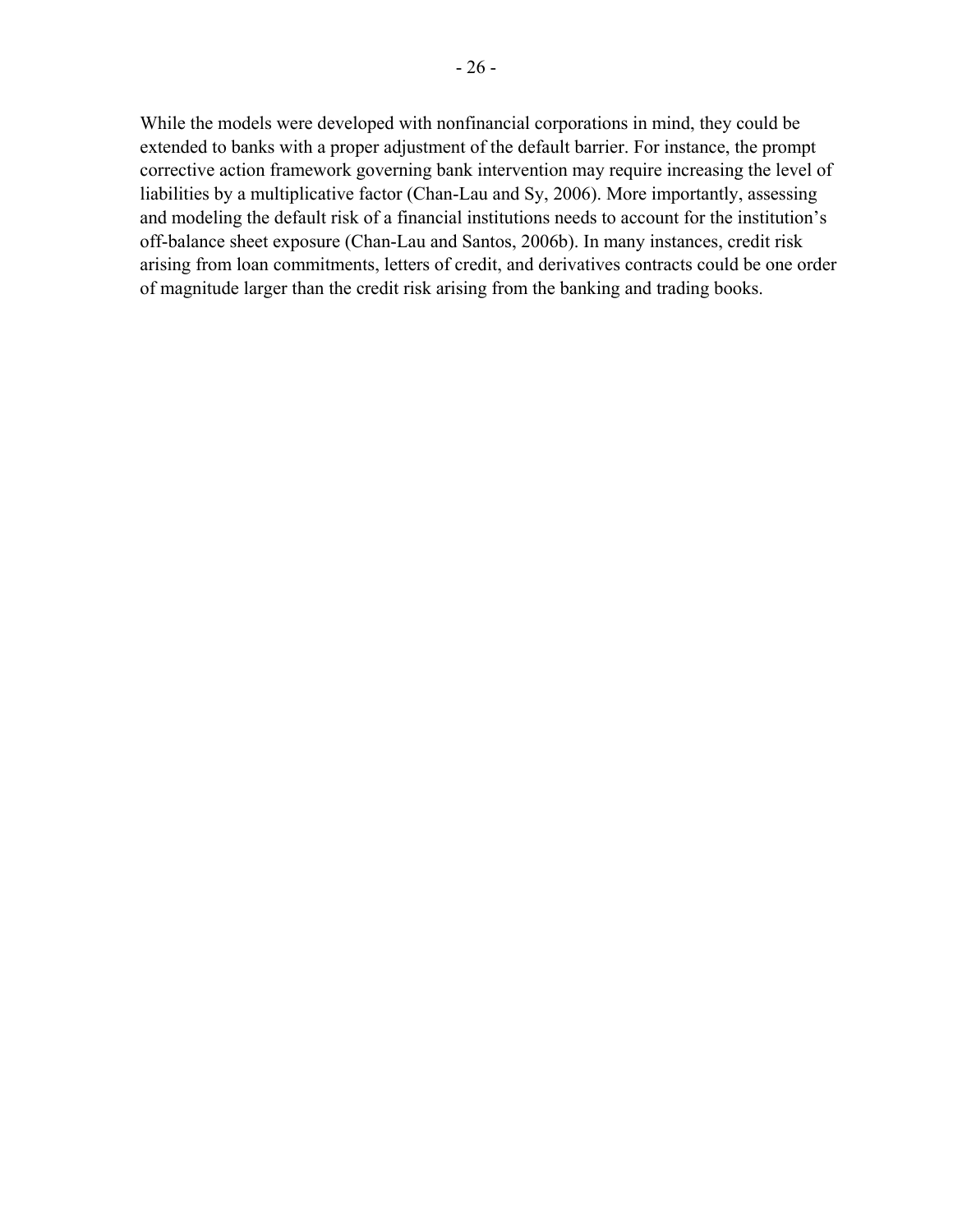While the models were developed with nonfinancial corporations in mind, they could be extended to banks with a proper adjustment of the default barrier. For instance, the prompt corrective action framework governing bank intervention may require increasing the level of liabilities by a multiplicative factor (Chan-Lau and Sy, 2006). More importantly, assessing and modeling the default risk of a financial institutions needs to account for the institution's off-balance sheet exposure (Chan-Lau and Santos, 2006b). In many instances, credit risk arising from loan commitments, letters of credit, and derivatives contracts could be one order of magnitude larger than the credit risk arising from the banking and trading books.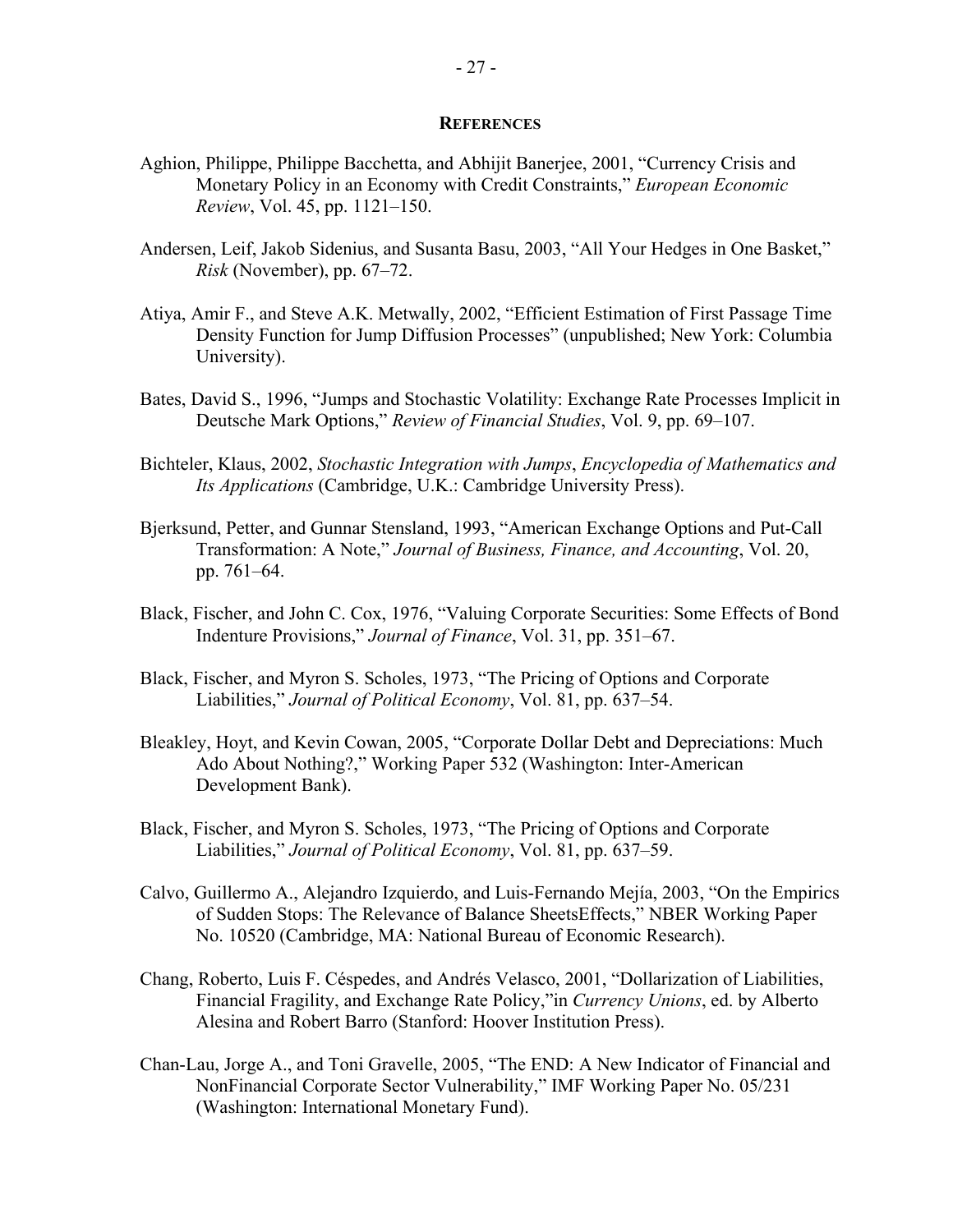#### **REFERENCES**

- Aghion, Philippe, Philippe Bacchetta, and Abhijit Banerjee, 2001, "Currency Crisis and Monetary Policy in an Economy with Credit Constraints," *European Economic Review*, Vol. 45, pp. 1121–150.
- Andersen, Leif, Jakob Sidenius, and Susanta Basu, 2003, "All Your Hedges in One Basket," *Risk* (November), pp. 67–72.
- Atiya, Amir F., and Steve A.K. Metwally, 2002, "Efficient Estimation of First Passage Time Density Function for Jump Diffusion Processes" (unpublished; New York: Columbia University).
- Bates, David S., 1996, "Jumps and Stochastic Volatility: Exchange Rate Processes Implicit in Deutsche Mark Options," *Review of Financial Studies*, Vol. 9, pp. 69–107.
- Bichteler, Klaus, 2002, *Stochastic Integration with Jumps*, *Encyclopedia of Mathematics and Its Applications* (Cambridge, U.K.: Cambridge University Press).
- Bjerksund, Petter, and Gunnar Stensland, 1993, "American Exchange Options and Put-Call Transformation: A Note," *Journal of Business, Finance, and Accounting*, Vol. 20, pp. 761–64.
- Black, Fischer, and John C. Cox, 1976, "Valuing Corporate Securities: Some Effects of Bond Indenture Provisions," *Journal of Finance*, Vol. 31, pp. 351–67.
- Black, Fischer, and Myron S. Scholes, 1973, "The Pricing of Options and Corporate Liabilities," *Journal of Political Economy*, Vol. 81, pp. 637–54.
- Bleakley, Hoyt, and Kevin Cowan, 2005, "Corporate Dollar Debt and Depreciations: Much Ado About Nothing?," Working Paper 532 (Washington: Inter-American Development Bank).
- Black, Fischer, and Myron S. Scholes, 1973, "The Pricing of Options and Corporate Liabilities," *Journal of Political Economy*, Vol. 81, pp. 637–59.
- Calvo, Guillermo A., Alejandro Izquierdo, and Luis-Fernando Mejía, 2003, "On the Empirics of Sudden Stops: The Relevance of Balance SheetsEffects," NBER Working Paper No. 10520 (Cambridge, MA: National Bureau of Economic Research).
- Chang, Roberto, Luis F. Céspedes, and Andrés Velasco, 2001, "Dollarization of Liabilities, Financial Fragility, and Exchange Rate Policy,"in *Currency Unions*, ed. by Alberto Alesina and Robert Barro (Stanford: Hoover Institution Press).
- Chan-Lau, Jorge A., and Toni Gravelle, 2005, "The END: A New Indicator of Financial and NonFinancial Corporate Sector Vulnerability," IMF Working Paper No. 05/231 (Washington: International Monetary Fund).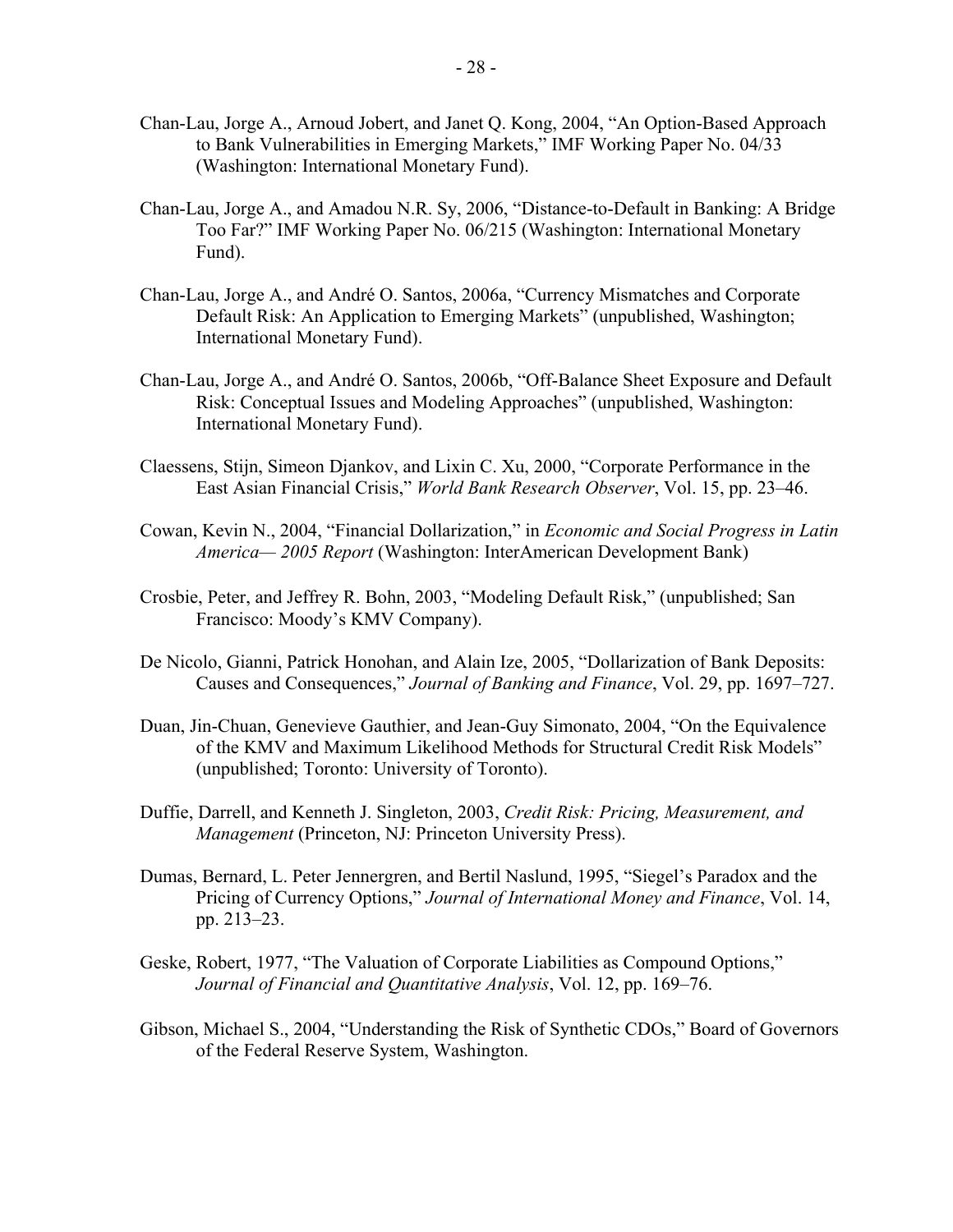- Chan-Lau, Jorge A., Arnoud Jobert, and Janet Q. Kong, 2004, "An Option-Based Approach to Bank Vulnerabilities in Emerging Markets," IMF Working Paper No. 04/33 (Washington: International Monetary Fund).
- Chan-Lau, Jorge A., and Amadou N.R. Sy, 2006, "Distance-to-Default in Banking: A Bridge Too Far?" IMF Working Paper No. 06/215 (Washington: International Monetary Fund).
- Chan-Lau, Jorge A., and André O. Santos, 2006a, "Currency Mismatches and Corporate Default Risk: An Application to Emerging Markets" (unpublished, Washington; International Monetary Fund).
- Chan-Lau, Jorge A., and André O. Santos, 2006b, "Off-Balance Sheet Exposure and Default Risk: Conceptual Issues and Modeling Approaches" (unpublished, Washington: International Monetary Fund).
- Claessens, Stijn, Simeon Djankov, and Lixin C. Xu, 2000, "Corporate Performance in the East Asian Financial Crisis," *World Bank Research Observer*, Vol. 15, pp. 23–46.
- Cowan, Kevin N., 2004, "Financial Dollarization," in *Economic and Social Progress in Latin America— 2005 Report* (Washington: InterAmerican Development Bank)
- Crosbie, Peter, and Jeffrey R. Bohn, 2003, "Modeling Default Risk," (unpublished; San Francisco: Moody's KMV Company).
- De Nicolo, Gianni, Patrick Honohan, and Alain Ize, 2005, "Dollarization of Bank Deposits: Causes and Consequences," *Journal of Banking and Finance*, Vol. 29, pp. 1697–727.
- Duan, Jin-Chuan, Genevieve Gauthier, and Jean-Guy Simonato, 2004, "On the Equivalence of the KMV and Maximum Likelihood Methods for Structural Credit Risk Models" (unpublished; Toronto: University of Toronto).
- Duffie, Darrell, and Kenneth J. Singleton, 2003, *Credit Risk: Pricing, Measurement, and Management* (Princeton, NJ: Princeton University Press).
- Dumas, Bernard, L. Peter Jennergren, and Bertil Naslund, 1995, "Siegel's Paradox and the Pricing of Currency Options," *Journal of International Money and Finance*, Vol. 14, pp. 213–23.
- Geske, Robert, 1977, "The Valuation of Corporate Liabilities as Compound Options," *Journal of Financial and Quantitative Analysis*, Vol. 12, pp. 169–76.
- Gibson, Michael S., 2004, "Understanding the Risk of Synthetic CDOs," Board of Governors of the Federal Reserve System, Washington.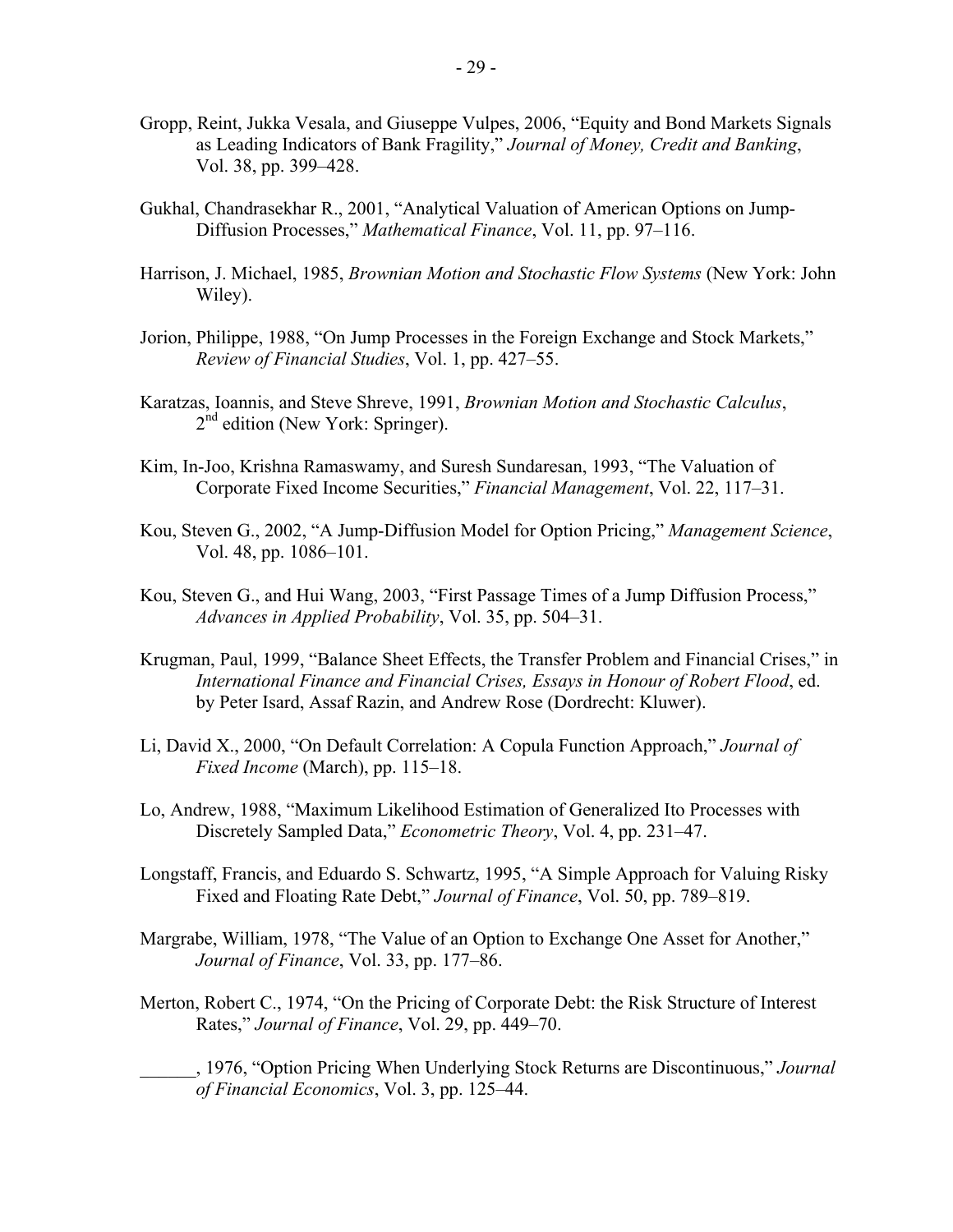- Gropp, Reint, Jukka Vesala, and Giuseppe Vulpes, 2006, "Equity and Bond Markets Signals as Leading Indicators of Bank Fragility," *Journal of Money, Credit and Banking*, Vol. 38, pp. 399–428.
- Gukhal, Chandrasekhar R., 2001, "Analytical Valuation of American Options on Jump-Diffusion Processes," *Mathematical Finance*, Vol. 11, pp. 97–116.
- Harrison, J. Michael, 1985, *Brownian Motion and Stochastic Flow Systems* (New York: John Wiley).
- Jorion, Philippe, 1988, "On Jump Processes in the Foreign Exchange and Stock Markets," *Review of Financial Studies*, Vol. 1, pp. 427–55.
- Karatzas, Ioannis, and Steve Shreve, 1991, *Brownian Motion and Stochastic Calculus*,  $2<sup>nd</sup>$  edition (New York: Springer).
- Kim, In-Joo, Krishna Ramaswamy, and Suresh Sundaresan, 1993, "The Valuation of Corporate Fixed Income Securities," *Financial Management*, Vol. 22, 117–31.
- Kou, Steven G., 2002, "A Jump-Diffusion Model for Option Pricing," *Management Science*, Vol. 48, pp. 1086–101.
- Kou, Steven G., and Hui Wang, 2003, "First Passage Times of a Jump Diffusion Process," *Advances in Applied Probability*, Vol. 35, pp. 504–31.
- Krugman, Paul, 1999, "Balance Sheet Effects, the Transfer Problem and Financial Crises," in *International Finance and Financial Crises, Essays in Honour of Robert Flood*, ed. by Peter Isard, Assaf Razin, and Andrew Rose (Dordrecht: Kluwer).
- Li, David X., 2000, "On Default Correlation: A Copula Function Approach," *Journal of Fixed Income* (March), pp. 115–18.
- Lo, Andrew, 1988, "Maximum Likelihood Estimation of Generalized Ito Processes with Discretely Sampled Data," *Econometric Theory*, Vol. 4, pp. 231–47.
- Longstaff, Francis, and Eduardo S. Schwartz, 1995, "A Simple Approach for Valuing Risky Fixed and Floating Rate Debt," *Journal of Finance*, Vol. 50, pp. 789–819.
- Margrabe, William, 1978, "The Value of an Option to Exchange One Asset for Another," *Journal of Finance*, Vol. 33, pp. 177–86.
- Merton, Robert C., 1974, "On the Pricing of Corporate Debt: the Risk Structure of Interest Rates," *Journal of Finance*, Vol. 29, pp. 449–70.

\_\_\_\_\_\_, 1976, "Option Pricing When Underlying Stock Returns are Discontinuous," *Journal of Financial Economics*, Vol. 3, pp. 125–44.